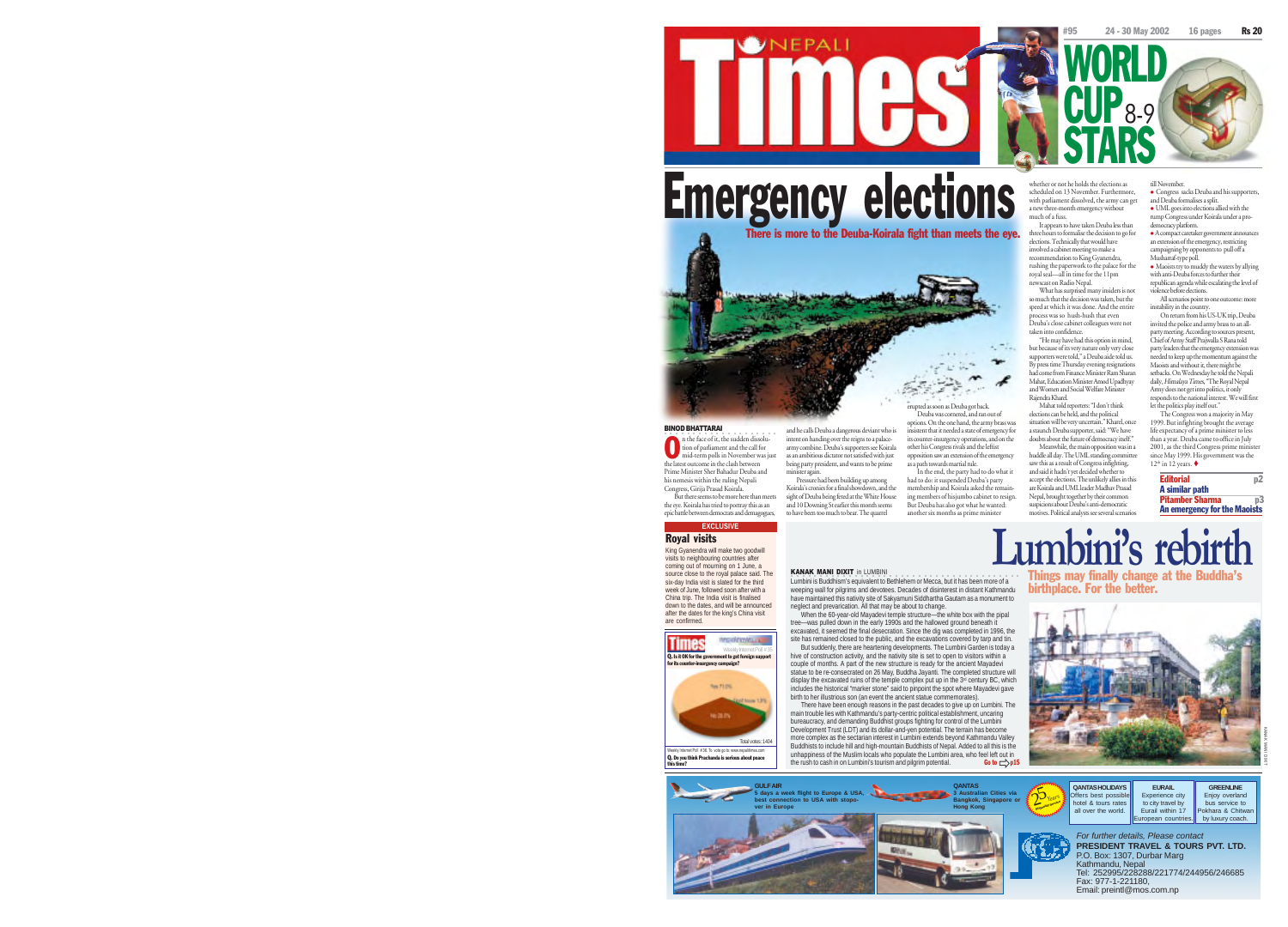

8-9

WORLD

**STARS** 

Emergency elections The is more to the Deuba-Koirala fight than meets the eye.

**UNEPALI** 

 $\rightarrow$ erupted as soon as Deuba got back.

> inter-insurgency operations, and on the other his Congress rivals and the leftist opposition saw an extension of the emergency as a path towards martial rule. In the end, the party had to do what it had to do: it suspended Deuba's party

men to do. It suspended focuses a party ing members of hisjumbo cabinet to resign. But Deuba has also got what he wanted: another six months as prime minister

### whether or not he holds the elections as scheduled on 13 November. Furthermore, with parliament dissolved, the army can get a new three-month emergency without much of a fuss. till November. rump Congress under Koirala under a prodemocracy platform.

CUP

It appears to have taken Deuba less than three hours to formalise the decision to go for elections. Technically that would have involved a cabinet meeting to make a recommendation to King Gyanendra, rushing the paperwork to the palace for the royal seal—all in time for the 11pm newscast on Radio Nepal.

What has surprised many insiders is not so much that the decision was taken, but the speed at which it was done. And the entire process was so hush-hush that even Deuba's close cabinet colleagues were not taken into confidence.

"He may have had this option in mind, but because of its very nature only very close supporters were told," a Deuba aide told us. By press time Thursday evening resignations had come from Finance Minister Ram Sharan Mahat, Education Minister Amod Upadhyay and Women and Social Welfare Minister Rajendra Kharel. Mahat told reporters: "I don't think Chief of Army Staff Prajwalla S Rana told

elections can be held, and the political situation will be very uncertain." Kharel, once a staunch Deuba supporter, said: "We have doubts about the future of democracy itself." Meanwhile, the main opposition was in a huddle all day. The UML standing committee

saw this as a result of Congress infighting, and said it hadn't yet decided whether to accept the elections. The unlikely allies in this are Koirala and UML leader Madhav Prasad Nepal, brought together by their common suspicions about Deuba's anti-democratic motives. Political analysts see several scenarios

responds to the national interest. We will first let the politics play itself out." The Congress won a majority in May 1999. But infighting brought the average life expectancy of a prime minister to less than a year. Deuba came to office in July 2001, as the third Congress prime minist since May 1999. His government was the

12<sup>th</sup> in 12 years. ♦

party leaders that the emergency extension w needed to keep up the momentum against the Maoists and without it, there might be setbacks. On Wednesday he told the Nepali daily, Himalaya Times, "The Royal Nepal Army does not get into politics, it only

<sup>z</sup> Congress sacks Deuba and his supporters, and Deuba formalises a split. <sup>z</sup> UML goes into elections allied with the

<sup>z</sup> A compact caretaker government announces an extension of the emergency, restricting campaigning by opponents to pull off a Musharraf-type poll. <sup>z</sup> Maoists try to muddy the waters by allying with anti-Deuba forces to further their republican agenda while escalating the level of violence before elections. All scenarios point to one outcome: mon instability in the country. On return from his US-UK trip, Deuba invited the police and army brass to an allparty meeting. According to sources present,

Editorial p2 A similar path Pitamber Sharma p3 An emergency for the Maoists



intent on handing over the reigns to a palacearmy combine. Deuba's supporters see Koirala as an ambitious dictator not satisfied with just being party president, and wants to be prime minister again. Pressure had been building up among Koirala's cronies for a final showdown, and the

sight of Deuba being feted at the White House and 10 Downing St earlier this month seems

## KANAK MANI DIXIT in LUMBINI

<u>.</u><br>Lumbini is Buddhism's equivalent to Bethlehem or Mecca, but it has been more of a weeping wall for pilgrims and devotees. Decades of disinterest in distant Kathmandu have maintained this nativity site of Sakyamuni Siddhartha Gautam as a monument to neglect and prevarication. All that may be about to change.

When the 60-year-old Mayadevi temple structure—the white box with the pipal tree—was pulled down in the early 1990s and the hallowed ground beneath it excavated, it seemed the final desecration. Since the dig was completed in 1996, the site has remained closed to the public, and the excavations covered by tarp and tin. But suddenly, there are heartening developments. The Lumbini Garden is today a hive of construction activity, and the nativity site is set to open to visitors within a couple of months. A part of the new structure is ready for the ancient Mayadevi statue to be re-consecrated on 26 May, Buddha Jayanti. The completed structure will display the excavated ruins of the temple complex put up in the 3<sup>d</sup> century BC, which includes the historical "marker stone" said to pinpoint the spot where Mayadevi gave birth to her illustrious son (an event the ancient statue commemorates). There have been enough reasons in the past decades to give up on Lumbini. The

main trouble lies with Kathmandu's party-centric political establishment, uncaring bureaucracy, and demanding Buddhist groups fighting for control of the Lumbini Development Trust (LDT) and its dollar-and-yen potential. The terrain has become more complex as the sectarian interest in Lumbini extends beyond Kathmandu Valley Buddhists to include hill and high-mountain Buddhists of Nepal. Added to all this is the unhappiness of the Muslim locals who populate the Lumbini area, who feel left out in the rush to cash in on Lumbini's tourism and pilgrim potential. Go to  $\Rightarrow$  p15

**Lumbini's rebirth** Things may finally change at the Buddha's birthplace. For the better.





BINOD BHATTARAI  $\bullet$  n the face of it, the sudden dissolu-

n the face of it, the sudden dissol<br>tion of parliament and the call for<br>mid-term polls in November was mid-term polls in November was just the latest outcome in the clash between Prime Minister Sher Bahadur Deuba and his nemesis within the ruling Nepali Congress, Girija Prasad Koirala.

the eye. Koirala has tried to portray this as an

# **EXCLUSIVE** Royal visits

King Gyanendra will make two goodwill visits to neighbouring countries after coming out of mourning on 1 June, a source close to the royal palace said. The six-day India visit is slated for the third week of June, followed soon after with a China trip. The India visit is finalised



Q. Do you think Prachanda is serious about peace this time? Internet Poll # 36. To vote go to: www.n

# But there seems to be more here than meets epic battle between democrats and demagogues, to have been too much to bear. The quarrel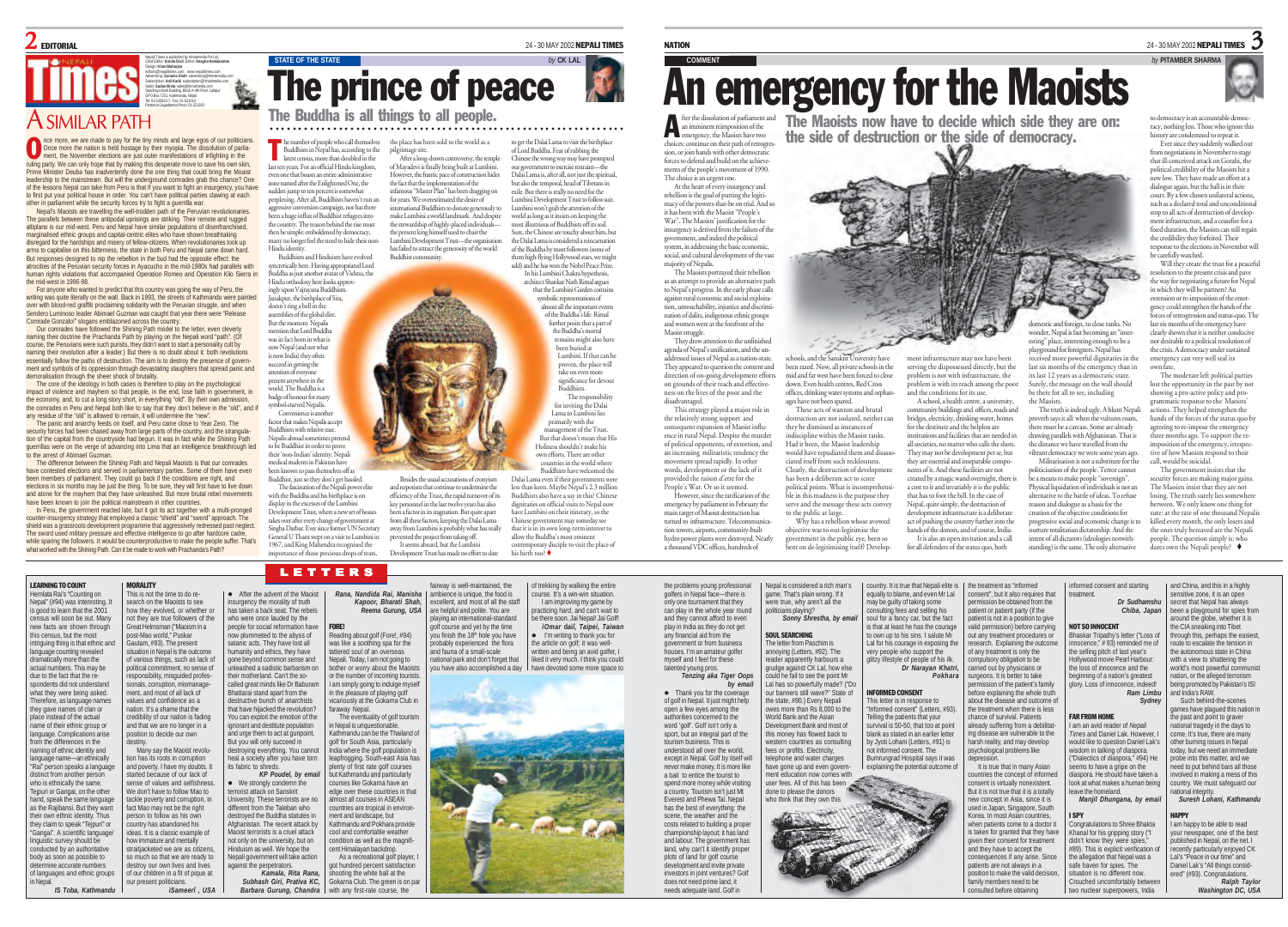# $\mathbf 2$  editional  $^{24-30\,\text{MAY\,2002}}$  nepali times

Nepali Times is published by Himalmedia Pvt Ltd, Chief Editor: **Kunda Dixit** Editor: **Anagha Neelakantan** Design: **Kiran Maharjan** editors@nepalitimes.com, www.nepalitimes.com Advertising: **Sunaina Shah** advertising@himalmedia.com Subscription: **Anil Karki** subscription@himalmedia.com Sales: **Sudan Bista** sales@himalmedia.com Sanchaya Kosh Building, Block A-4th Floor, Lalitpur GPO Box 7251, Kathmandu, Nepal Tel: 01-543333-7, Fax: 01-521013 Printed at Jagadamba Press: 01-521393

# A SIMILAR PATH

nce more, we are made to pay for the tiny minds and large egos of our politicians. Once more the nation is held hostage by their myopia. The dissolution of parliament, the November elections are just outer manifestations of infighting in the The more, we are made to pay for the tiny minds and large egos of our politician<br>Once more the nation is held hostage by their myopia. The dissolution of partia-<br>more, the November elections are just outer manifestations o Prime Minister Deuba has inadvertently done the one thing that could bring the Moaist leadership to the mainstream. But will the underground comrades grab this chance? One of the lessons Nepal can take from Peru is that if you want to fight an insurgency, you have to first put your political house in order. You can't have political parties clawing at each

other in parliament while the security forces try to fight a guerrilla war. Nepal's Maoists are travelling the well-trodden path of the Peruvian revolutionaries. The parallels between these antipodal uprisings are striking. Their remote and rugged altiplano is our mid-west. Peru and Nepal have similar populations of disenfranchised, marginalised ethnic groups and capital-centric elites who have shown breathtaking disregard for the hardships and misery of fellow-citizens. When revolutionaries took up arms to capitalise on this bitterness, the state in both Peru and Nepal came down hard. But responses designed to nip the rebellion in the bud had the opposite effect: the atrocities of the Peruvian security forces in Ayacucho in the mid-1980s had parallels with human rights violations that accompanied Operation Romeo and Operation Kilo Sierra in the mid-west in 1996-98.

For anyone who wanted to predict that this country was going the way of Peru, the writing was quite literally on the wall. Back in 1993, the streets of Kathmandu were painted over with blood-red graffiti proclaiming solidarity with the Peruvian struggle, and when Sendero Luminoso leader Abimael Guzman was caught that year there were "Release Comrade Gonzalo!" slogans emblazoned across the country.

Our comrades have followed the Shining Path model to the letter, even cleverly naming their doctrine the Prachanda Path by playing on the Nepali word "path". (Of course, the Peruvians were such purists, they didn't want to start a personality cult by naming their revolution after a leader.) But there is no doubt about it: both revolutions essentially follow the paths of destruction. The aim is to destroy the presence of government and symbols of its oppression through devastating slaughters that spread panic and demoralisation through the sheer shock of brutality.

The core of the ideology in both cases is therefore to play on the psychological impact of violence and mayhem so that people, in the end, lose faith in government, in the economy, and, to cut a long story short, in everything "old". By their own admission, the comrades in Peru and Nepal both like to say that they don't believe in the "old", and if any residue of the "old" is allowed to remain, it will undermine the "new".

The panic and anarchy feeds on itself, and Peru came close to Year Zero. The security forces had been chased away from large parts of the country, and the strangula tion of the capital from the countryside had begun. It was in fact while the Shining Path querrillas were on the verge of advancing into Lima that an intelligence breakthrough to the arrest of Abimael Guzman.

The difference between the Shining Path and Nepali Maoists is that our comrades have contested elections and served in parliamentary parties. Some of them have even been members of parliament. They could go back if the conditions are right, and elections in six months may be just the thing. To be sure, they will first have to live down and atone for the mayhem that they have unleashed. But more brutal rebel movements

have been known to join the political mainstream in other countries. In Peru, the government reacted late, but it got its act together with a multi-pronged counter-insurgency strategy that employed a classic "shield" and "sword" approach. The shield was a grassroots development programme that aggressively redressed past neglect. The sword used military pressure and effective intelligence to go after hardcore cadre while sparing the followers. It would be counterproductive to make the people suffer. That's what worked with the Shining Path. Can it be made to work with Prachanda's Path?

The Buddha is all things to all people. A ○○○○○○○○○○○○○○○○○○○○○○○○ ○○○○○○○○○○○○○○○○○○○○○○○○○○○○○○○○○○○○○○ The number of people who call themselves the place has been sold to the world as a to get the Dalai Lama to visit the birthplace the Daddhists in Nepal have prompted buddhas the prompted buddhas the prompted busines the wr the place has been sold to the world as a <sup>p</sup>ilgrimage site. ple who call themselves last ten years. For an official Hindu kingdom, even one that boasts an entire administrative zone named after the Enlightened One, the sudden jump to ten percent is somewhat perplexing. After all, Buddhists haven't run an

Buddhist community. aggressive conversion campaign, nor has there been a huge influx of Buddhist refugees into the country. The reason behind the rise must the country. The reason behind the line lines many no longer feel the need to hide their non-Hindu identity. Buddhism and Hinduism have evolved

syncretically here. Having appropriated Lord Buddha as just another avatar of Vishnu, the Hindu orthodoxy here looks approvingly upon Vajrayana Buddhism. Janakpur, the birthplace of Sita,

doesn't ring a bell in the assemblies of the global elite. But the moment Nepalis mention that Lord Buddha was in fact born in what is now Nepal (and not what is now India) they often succeed in getting the attention of e present anywhere in the world. The Buddha is a badge of honour for many

symbol-starved Nepalis. Convenience is another factor that makes Nepalis accept Buddhism with relative ease. endis abroad sometimes pretending to be Buddhist in order to pr

their 'non-Indian' identity. Nepali medical students in Pakistan ha been known to pass themselves off as Buddhist, just so they don't get hassled. The fascination of the Nepali power eli with the Buddha and his birthplace is on

LETTERS

• After the advent of the Maois nsurgency the morality of truth

Development Trust has made no effort to date display in the excesses of the Lumbini ent Trust, where a new set of bosse takes over after every change of government at Singha Darbar. Ever since former UN Secretary General U Thant wept on a visit to Lumbini in 1967, and King Mahendra recognised the importance of those precious drops of tears,

our government to exercise restraint—the Dalai Lama is, after all, not just the spiritual, but also the temporal, head of Tibetans in exile. But there is really no need for the Lumbini Development Trust to follow suit. Lumbini won't grab the attention of the world as long as it insists on keeping the most illustrious of Buddhists off its soil. Sure, the Chinese are touchy about him, but the Dalai Lama is considered a reincarnation of the Buddha by most followers (some of them high-flying Hollywood stars, we might add) and he has won the Nobel Peace Prize. In his Lumbini Chakra hypothesis, After a long-drawn controversy, the temple of Mayadevi is finally being built at Lumbini. However, the frantic pace of construction hides the fact that the implementation of the infamous "Master Plan" has been dragging on for years. We overestimated the desire of international Buddhists to donate generously to make Lumbini a world landmark. And despite the stewardship of highly-placed individualsthe present king himself used to chair the Lumbini Development Trust—the organisation has failed to attract the generosity of the world

**STATE OF THE STATE** 

The prince of peace

that the Lumbini Garden symbolic representations of almost all the important events of the Buddha's life. Rimal further posits that a part of the Buddha's mortal remains might also have been buried at ocen ouncu at<br>Lumbini. If that can be proven, the place will take on even significance for devout stgunnen.<br>Buddhists. The responsibility for inviting the Dalai Lama to Lumbini lies primarily with the management of the Trust. But that doesn't mean that His Holiness shouldn't make his own efforts. There are other ntries in the world where Buddhists have welcomed the Dalai Lama even if their governments were

architect Shankar Nath Rimal argues

Besides the usual accusations of cronyism and nepotism that continue to undermine the efficiency of the Trust, the rapid turnover of its key personnel in the last twelve years has also a factor in its stagnation. But from all these factors, keeping the Dalai Lama away from Lumbini is probably what has really

less than keen. Maybe Nepal's 2.3 million Buddhists also have a say in this? Chinese dignitaries on official visits to Nepal now e Lumbini on their itinerary, so the Chinese government may someday see that it is in its own long-term interest to allow the Buddha's n ary disciple to visit the place of prented the project from taking off. It seems absurd, but the Lumbin

NATION  $_{\rm 24-30~MAY~2002}$  Nepali times  $\bf{3}$ 

 $\mathcal{F}_\mathfrak{g}$ 

# **COMMENT** *by* **PITAMBER SHARMA** An emergency for the Maoists

an imminent reimposition of the emergency, the Maoists have two<br>choices continue on their path of persons choices: continue on their path of retrogression, or join hands with other democratic forces to defend and build on the achieve-

ments of the people's movement of 1990. The choice is an urgent one. At the heart of every insurgency and rebellion is the goal of putting the legitimacy of the powers-that-be on trial. And so it has been with the Maoist "People's War". The Maoists' justification for the insurgency is derived from the failure of the government, and indeed the political .<br>wstem, in addressing the basic economi social, and cultural development of the vast majority of Nepalis.

The Maoists portrayed their rebellion as an attempt to provide an alternative path to Nepal's progress. In the early phase calls against rural economic and social exploitation, untouchability, injustice and discrimination of dalits, indigenous ethnic groups and women were at the forefront of the Maoist struggle. They drew attention to the unfinished

agenda of Nepal's unification, and the unaddressed issues of Nepal as a nation-state. They appeared to question the content and direction of on-going development efforts on grounds of their reach and effectiveness on the lives of the poor and the disadvantaged. This strategy played a major role in the relatively strong support and consequent expansion of Maoist influence in rural Nepal. Despite the murder of political opponents, of extortion, and an increasing militaristic tendency the movement spread rapidly. In other words, development or the lack of it provided the raison d'etre for the People's War. Or so it seemed.

However, since the ratification of the emergency by parliament in February the main target of Maoist destruction has turned to infrastructure. Telecommu tion towers, airports, community-built hydro power plants were destroyed. Nearly a thousand VDC offices, hundreds of

fter the dissolution of parliament and The Maoists now have to decide which side they are on: the side of destruction or the side of democracy.

> estic and foreign, to close ranks. No wonder, Nepal is fast becoming an "interesting" place, interesting enough to be a

> > ment infrastructure may not have been serving the dispossessed directly, but the problem is not with infrastructure, the problem is with its reach among the poor and the conditions for its use. A school, a health centre, a university,

community buildings and offices, roads and bridges, electricity, drinking water, homes for the destitute and the helpless are institutions and facilities that are needed in all societies, no matter who calls the shots. They may not be development per se, but they are essential and inseparable compo nents of it. And these facilities are not created by a magic wand overnight, there is a cost to it and invariably it is the public that has to foot the bill. In the case of Nepal, quite simply, the destruction of development infrastructure is a deliberate act of pushing the country further into the hands of the donors, and of course, India. It is also an open invitation and a call for all defenders of the status quo, both

country. It is true that Nepali elite is | the treatment as "informed

consent", but it also requires that mission be obtained from the patient or patient party (if the

many minimum generalism to the the credibility they forfeited. Their response to the elections in November will carefully watched. Will they create the trust for a peaceful resolution to the present crisis and pave the way for negotiating a future for Nepal in which they will be partners? An extension or re-imposition of the emer-gency could strengthen the hands of the rces of retrogression and status-quo. The last six months of the emergency have clearly shown that it is neither conducive nor desirable to a political resolution of the crisis. A democracy under sustained emergency can very well seal its

own fate. The moderate left political parties lost the opportunity in the past by not showing a pro-active policy and programmatic response to the Maoist actions. They helped strengthen the hands of the forces of the status quo by agreeing to re-impose the emergency three months ago. To support the reimposition of the emergency, irrespective of how Maoists respond to their

to democracy is an accountable democracy, nothing less. Those who ignore this history are condemned to repeat it. Ever since they suddenly walked out from negotiations in November to stage that ill-conceived attack on Gorahi, the political credibility of the Maoists hit a ew low. They have made an effort at a dialogue again, but the ball is in their court. By a few chosen unilateral actions, such as a declared total and unconditional stop to all acts of destruction of development infrastructure, and a ceasefire for a fixed duration, the Maoists can still regain

The government insists that the security forces are making major gains. The Maoists insist that they are not losing. The truth surely lies somewhere between. We only know one thing for sure: at the rate of one thousand Nepali killed every month, the only losers and the ones truly bereaved are the Nepali people. The question simply is: who dares own the Nepali people?

> and China, and this in a highly sensitive zone, it is an open secret that Nepal has always been a playground for spies from around the globe, whether it is the CIA sneaking into Tibet rough this, perhaps the easiest route to escalate the tension in the autonomous state in China with a view to shattering the world's most powerful communist world's most powerful communibeing promoted by Pakistan's ISI and India's RAW. Such behind-the-scenes mes have plagued this nation in the past and point to graver tional tragedy in the days to come. It's true, there are many

### LEARNING TO COUNT MORALITY

Hemlata Rai's "Counting on Nepal" (#94) was interesting. is good to learn that the 2001 census will soon be out. Many new facts are shown through this census, but the most intriguing thing is that ethnic and language counting revealed dramatically more than the actual numbers. This may be due to the fact that the respondents did not understand what they were being asked. Therefore, as language names they gave names of clan or place instead of the actual name of their ethnic group or language. Complications arise from the differences in the naming of ethnic identity and language name—an ethnically "Rai" person speaks a languag distinct from another person who is ethnically the same. Tejpuri or Gangai, on the other hand, speak the same language as the Rajibansi. But they want their own ethnic identity. Thus they claim to speak "Tejpuri" or "Gangai". A scientific language linguistic survey should be galacto darvoy dribata be<br>onducted by an authoritative body as soon as possible to determine accurate numbers of languages and ethnic groups in Nepal. .<br>*IS Toba, Kathma* This is not the time to do research on the Maoists to see destiny.

how they evolved, or whether or not they are true followers of the Great Helmsman ("Maoism in a post-Mao world," Puskar Gautam, #93). The present ituation in Nepal is the outcome of various things, such as lack of political commitment, no sense of responsibility, misguided profesionals, corruption, mismanage ment, and most of all lack of values and confidence as a nation. It's a shame that the redibility of our nation is fading and that we are no longer in a position to decide our own Many say the Maoist revolution has its roots in corruption and poverty. I have my doubts. It started because of our lack of sense of values and selfishness. We don't have to follow Mao to tackle poverty and corruption, in fact Mao may not be the right person to follow as his own country has abandoned his deas. It is a classic example of how immature and mentally straitiacketed we are as citizens so much so that we are ready to destroy our own lives and lives of our children in a fit of pique at our present politicians. *ìSameerî , USA* has taken a back seat. The rebels who were once lauded by the people for social reformation have ow plummeted to the abyss of satanic acts. They have lost all umanity and ethics, they have inne beyond common sense and unleashed a sadistic barbarism on their motherland. Can't the soalled great minds like Dr Babura Bhattarai stand apart from the destructive bunch of anarchists that have hijacked the revolution? You can exploit the emotion of the ignorant and destitute population and urge them to act at gunpoint. But you will only succeed in estroying everything. You cannot eal a society after you have torn its fabric to shreds. *KP Poudel, by ema* **We strongly condemn the** errorist attack on Sanskrit University. These terrorists are no different from the Taleban who destroyed the Buddha statutes in Afghanistan. The recent attack by Maoist terrorists is a cruel attack not only on the university, but on ording on the differently, but of Nepali government will take action against the perpetrators. *Kamala, Rita Rana, Subhash Giri, Prativa KC,*

*Rana, Nandida Rai, Manisha Kapoor, Bharati Shah, Reema Gurung, USA* FORE! Reading about golf (Fore!, #94) was like a soothing spa for the attered soul of an overseas Nepali. Today, I am not going to bother or worry about the Maoists

or the number of incoming tourists. am simply going to indulge myself in the pleasure of playing golf vicariously at the Gokarna Club in faraway Nepal. The eventuality of golf tourism n Nepal is unquestionable Kathmandu can be the Thailand of golf for South Asia, particularly India where the golf population is leapfrogging. South-east Asia has plenty of first rate golf courses

but Kathmandu and particularly courses like Gokarna have an edge over these countries in that almost all courses in ASEAN countries are tropical in environment and landscape, but Kathmandu and Pokhara provide cool and comfortable weather condition as well as the magnificent Himalayan backdrop. As a recreational golf player got hundred percent satisfaction

Barbara Gurung, Chandra | with any first-rate course, the shooting the white ball at the Gokarna Club. The green is on par fairway is well-maintained, the ambience is unique, the food is xcellent, and most of all the staff are helpful and polite. You are playing an international-standard golf course and yet by the time you finish the 18<sup>th</sup> hole you have probably experienced the flora and fauna of a small-scale national park and don't forget that course. It's a win-win situation. I am improving my game by practicing hard, and can't wait to be there soon. Jai Nepal! Jai Golf! *ìOmar* **dai***î, Taipei, Taiwan* I'm writing to thank you for the article on golf; it was wellwritten and being an avid golfer, liked it very much. I think you could

his birth too?



you have also accomplished a day have devoted some more space to of trekking by walking the entire talented young pros.

> of golf in Nepal. It just might help open a few eyes among the authorities concerned to the word 'golf'. Golf isn't only a sport, but an integral part of the tourism business. This is understood all over the world, except in Nepal. Golf by itself will never make money. It is more like a bait to entice the tourist to spend more money while visiting a country. Tourism isn't just Mt Everest and Phewa Tal. Nepal has the best of everything: the scene, the weather and the costs related to building a prop championship layout; it has land and labour. The government has plote of land for golf course development and invite private investors in joint ventures? Gol does not need prime land, it needs adequate land. Golf in

golfers in Nepal face—there is only one tournament that they can play in the whole year round and they cannot afford to even play in India as they do not get any financial aid from the government or from business houses. I'm an amateur golfer myself and I feel for these *Tenzing aka Tiger Oops* politicians playing? SOUL SEARCHING The letter from Paschim is

*by email* **a** Thank you for the coverage this money has flowed back to western countries as consulting fees or profits. Electricity, telephone and water charges have gone up and even government education now comes with user fees. All of this has been done to please the donors

and labour. The government has

the problems young professional Nepal is considered a rich man's game. That's plain wrong. If it were true, why aren't all the  *Sonny Shrestha, by email*

annoying (Letters, #92). The reader apparently harbours a grudge against CK Lal, how else could he fail to see the point Mr Lal has so powerfully made? ("Do our banners still wave?" State of the state, #90.) Every Nepali owes more than Rs 8,000 to the World Bank and the Asian Development Bank and most of Lal for his courage in exposing the very people who support the glitzy lifestyle of people of his ilk.

schools, and the Sanskrit University have been razed. Now, all private schools in the mid and far west have been forced to close down. Even health centres, Red Cross offices, drinking water systems and orphanages have not been spared. These acts of wanton and brutal destruction are not isolated, neither can they be dismissed as instances of indiscipline within the Maoist ranks. Had it been, the Maoist leadership would have repudiated them and disasso-ciated itself from such recklessness. Clearly, the destruction of development has been a deliberate act to score political points. What is incomprehensible in this madness is the purpose they serve and the message these acts convey to the public at large. Why has a rebellion whose avowed objective was to out-legitimise the government in the public eye, been so bent on de-legitimising itself? Develop-

not informed consent. The

who think that they own this

*Pokhara* INFORMED CONSENT This letter is in response to Informed consent" (Letters, #93). Telling the patients that your ing the patients that year.<br>Aval is 50-50, that too at point blank as stated in an earlier letter by Jyoti Lohani (Letters, #91) is Bumrungrad Hospital says it was explaining the potential outcome of

equally to blame, and even Mr Lal may be guilty of taking some<br>consulting fees and selling his consulting fees and selling his soul for a fancy car, but the fact is that at least he has the courage to own up to his sins. I salute M

*Dr Narayan Khatri,*



consulted before obtaining

patient is not in a position to give valid permission) before carrying out any treatment procedures or research. Explaining the outcom of any treatment is only the compulsory obligation to be carried out by physicians or surgeons. It is better to take mission of the patient's family before explaining the whole truth about the disease and outcome o the treatment when there is less chance of survival. Patients Iready suffering from a debilitat ing disease are vulnerable to the harsh reality, and may develop sychological problems like depression. It is true that in many Asian untries the concept of informed NOT SO INNOCENT Bhaskar Tripathy's letter ("Loss of innocence," # 93) reminded me of the selling pitch of last year's Hollywood movie Pearl Harbour: the loss of innocence and the beginning of a nation's greatest glory. Loss of innocence, indeed! *Ram Limbu Sydney* FAR FROM HOME am an avid reader of *Nepali Times* and Daniel Lak. However, would like to question Daniel Lak's wisdom in talking of diaspora. ("Dialectics of diaspora," #94) He seems to have a gripe on the aspora. He should have taken

nformed consent and starting treatment.

look at what makes a human being leave the homeland. *Manjil Dhungana, by email* I SPY Congratulations to Shree Bhakta Khanal for his gripping story ("I HAPPY

didn't know they were spies."  $#89$ ). This is explicit verification the allegation that Nepal was a safe haven for spies. The situation is no different now. Crouched uncomfortably betw two nuclear superpowers, India

other burning issues in Nepal oday, but we need an immediate probe into this matter, and we eed to put behind bars all those volved in making a mess of this vuntry. We must safeguard our national integrity. *Suresh Lohani, Kathmandu* I am happy to be able to read your newspaper, one of the best published in Nepal, on the net. I ecently particularly enjoyed CK Lal's "Peace in our time" and Daniel Lak's "All things considered" (#93). Congratulations. *Ralph Taylor Washington DC, USA*

received more powerful dignitaries in the last six months of the emergency than in its last 12 years as a democratic state. the we have travelled from the

Surely, the message on the wall should be there for all to see, including the Maoists. The truth is indeed ugly. A blunt Nepali proverb says it all: when the vultures roam, there must be a carcass. Some are already

call, would be suicidal.

intent of all dictators (ideologies notwith-standing) is the same. The only alternative

*Dr Sudhamshu Chiba, Japan*

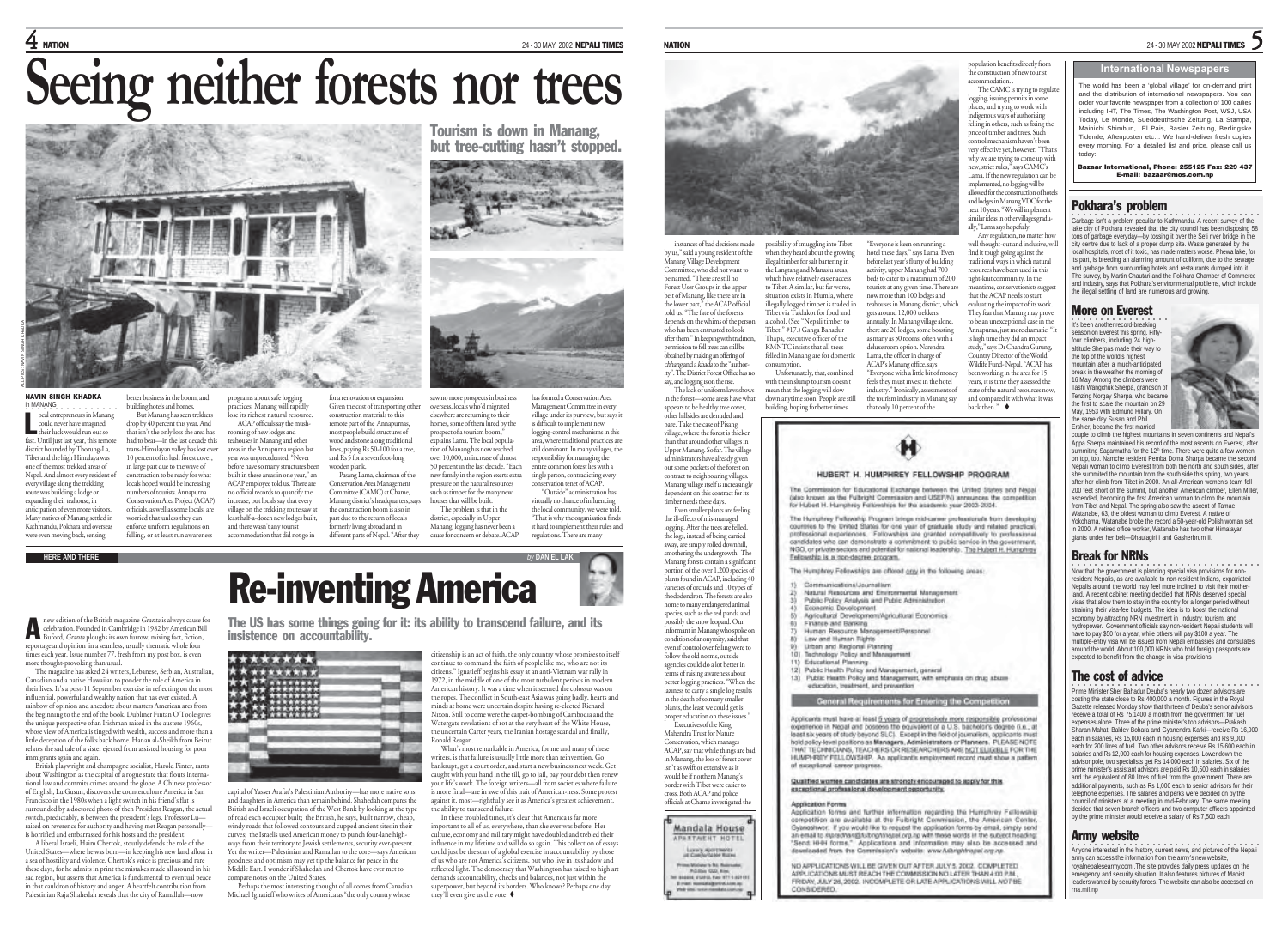# $\bf 4$  NATION 2002 NEPALI TIMES

# **Seeing neither forests nor trees**



NAVIN SINGH KHADKA in MANANG ocal entrepreneurs in Manang could never have imagined their luck would run out so fast. Until just last year, this remote district bounded by Thorung-La, Tibet and the high Himalaya was one of the most trekked areas of Nepal. And almost every resident of every village along the trekking route was building a lodge or expanding their teahouse, in anticipation of even more visito Many natives of Manang settled in Kathmandu, Pokhara and overseas were even moving back, sensing L

new edition of the British magazine *Granta* is always cause for<br>celebration. Founded in Cambridge in 1982 by American Bill

reportage and opinion in a seamless, usually thematic whole four times each year. Issue number 77, fresh from my post box, is even

Canadian and a native Hawaiian to ponder the role of America in

influential, powerful and wealthy nation that has ever existed. A

the unique perspective of an Irishman raised in the austere 1960s,

Francisco in the 1980s when a light switch in his friend's flat is surrounded by a doctored photo of then President Reagan, the actual switch, predictably, is between the president's legs. Professor Lu raised on reverence for authority and having met Reagan personally is horrified and embarrassed for his hosts and the president. A liberal Israeli, Haim Chertok, stoutly defends the role of the United States—where he was born—in keeping his new land afloat in a sea of hostility and violence. Chertok's voice is precious and rare these days, for he admits in print the mistakes made all around in his sad region, but asserts that America is fundamental to eventual peace in that cauldron of history and anger. A heartfelt contribution from Palestinian Raja Shahedah reveals that the city of Ramallah—now

immigrants again and again.

better business in the boom, and building hotels and homes. But Manang has seen trekkers drop by 40 percent this year. And that isn't the only loss the area has had to bear—in the last decade this trans-Himalayan valley has lost over 10 percent of its lush forest cover, in large part due to the wave of<br>construction to be ready for what construction to be ready for what locals hoped would be increasing numbers of tourists. Annapurna Conservation Area Project (ACAP) officials, as well as some locals, are worried that unless they can enforce uniform regulations on

programs about safe logging tices, Manang will rapidly lose its richest natural resource. ACAP officials say the mushoming of new lodges and teahouses in Manang and other areas in the Annapurna region last year was unprecedented. "Never fore have so many structures been built in these areas in one year," an wooden plank.

felling, or at least run awareness ACAP employee told us. There are no official records to quantify the increase, but locals say that every village on the trekking route saw at least half-a-dozen new lodges built, and there wasn't any tourist accommodation that did not go in

for a renovation or expansion. Given the cost of transporting other construction materials to this remote part of the Annapurnas, most people build structures of wood and stone along traditional lines, paying Rs 50-100 for a tree, and Rs 5 for a seven foot-long Pasang Lama, chairman of the

Conservation Area Management Committee (CAMC) at Chame, Manang district's headquarters, says the construction boom is also in part due to the return of locals formerly living abroad and in different parts of Nepal. "After they

Tourism is down in Manang, but tree-cutting hasn't stopped.



overseas, locals who'd migrated elsewhere are returning to their homes, some of them lured by the prospect of a tourism boom," explains Lama. The local population of Manang has now reached over 10,000, an increase of almost 50 percent in the last decade. "Each new family in the region exerts extra pressure on the natural resources such as timber for the many new houses that will be built. has formed a Conservation Area Management Committee in even village under its purview, but says it is difficult to implement new logging-control mechanisms in this area, where traditional practices are still dominant. In many villages, the responsibility for managing the entire common forest lies with a single person, contradicting every conservation tenet of ACAP. "Outside" administration has virtually no chance of influencing

The problem is that in the district, especially in Upper Manang, logging has never been a cause for concern or debate. ACAP the local community, we were to "That is why the organisation finds it hard to implement their rules and regulations. There are many



saw no more prospects in business

The US has some things going for it: its ability to transcend failure, and its insistence on accountability.



capital of Yasser Arafat's Palestinian Authority—has more native sons and daughters in America than remain behind. Shahedah compares the British and Israeli occupation of the West Bank by looking at the type of road each occupier built; the British, he says, built narrow, cheap, windy roads that followed contours and cupped ancient sites in their curves; the Israelis used American money to punch four-lane high-ways from their territory to Jewish settlements, security ever-present. Yet the writer—Palestinian and Ramallan to the core—says American goodness and optimism may yet tip the balance for peace in the Middle East. I wonder if Shahedah and Chertok have ever met to compare notes on the United States.

Perhaps the most interesting thought of all comes from Canadian Michael Ignatieff who writes of America as "the only country whose

citizenship is an act of faith, the only country whose promises to itself continue to command the faith of people like me, who are not its citizens." Ignatieff begins his essay at an anti-Vietnam war rally in 1972, in the middle of one of the most turbulent periods in modern American history. It was a time when it seemed the colossus was on the ropes. The conflict in South-east Asia was going badly, hearts and minds at home were uncertain despite having re-elected Richard Nixon. Still to come were the carpet-bombing of Cambodia and the Watergate revelations of rot at the very heart of the White House, the uncertain Carter years, the Iranian hostage scandal and finally, Ronald Reagan.

What's most remarkable in America, for me and many of these writers, is that failure is usually little more than reinvention. Go bankrupt, get a court order, and start a new business next week. Get caught with your hand in the till, go to jail, pay your debt then renew your life's work. The foreign writers—all from societies where failure is more final—are in awe of this trait of American-ness. Some protest against it, most—rightfully see it as America's greatest achievement, the ability to transcend failure.

In these troubled times, it's clear that America is far more important to all of us, everywhere, than she ever was before. Her culture, economy and military might have doubled and trebled their influence in my lifetime and will do so again. This collection of essays could just be the start of a global exercise in accountability by those of us who are not America's citizens, but who live in its shadow and reflected light. The democracy that Washington has raised to high art demands accountability, checks and balances, not just within the superpower, but beyond its borders. Who knows? Perhaps one day they'll even give us the vote.



instances of bad decisions made by us," said a young resident of the Manang Village Development Committee, who did not want to be named. "There are still no Forest User Groups in the upper belt of Manang, like there are in the lower part," the ACAP official told us. "The fate of the forests depends on the whims of the person who has been entrusted to look after them." In keeping with tradition, permission to fell trees can still be obtained by making an offering of chhang and a khada to the "author ity". The District Forest Office has no possibility of smuggling into Tibet when they heard about the growing when they have a way to see the property of the state of the state of the state of the state of the state of the state of the state of the state of the state of the state of the state of the state of the state of the state the Langtang and Manashi areas, which have relatively easier access to Tibet. A similar, but far worse, tuation exists in Humla, where illegally logged timber is traded in Tibet via Taklakot for food and alcohol. (See "Nepali timber to Tibet," #17.) Ganga Bahadur Thapa, executive officer of the KMNTC insists that all trees felled in Manang are for domestic consumption. Unfortunately, that, combined

say, and logging is on the rise. The lack of uniform laws shows in the forest—some areas have what appears to be healthy tree cover, other hillsides are denuded and with the in slump tourism doesn't mean that the logging will slow down anytime soon. People are still building, hoping for better times.

bare. Take the case of Pisang village, where the forest is thicker than that around other villages in Upper Manang. So far. The village administrators have already given out some pockets of the forest on contract to neighbouring villages. Manang village itself is incr dependent on this contract for its timber needs these days. Even smaller plants are feeling

the ill-effects of mis-managed logging. After the trees are felled, the logs, instead of being carried away, are simply rolled downhill, smothering the undergrowth. The Manang forests contain a significant portion of the over 1,200 species of

rhododendron. The forests are also home to many endangered animal species, such as the red panda and possibly the snow leopard. Our informant in Manang who spoke on

even if control over felling were to follow the old norms, outside

# General Requirements for Entering the Competition

The Humptrey Fellowships are offered only in the following areas:

Applicants must have at least 5 years of progressively more responsible professional experience in Nepal and possess the equivalent of a U.S. bachelor's degree (i.e., at ast six years of study beyond SLC). Except in the field of journalism, applicants must hold policy-level positions as Managers, Administrators or Planners. PLEASE NOTE<br>THAT TECHNICIANS, TEACHERS OR RESEARCHERS ARE <u>NOTELIGELE</u> FOR THE HUMPHREY FELLOWSHIP. An applicant's employment record must show a pattern experience career progress

hotel these days," says Lama. Even before last year's flurry of building activity, upper Manang had 700 beds to cater to a maximum of 200 tourists at any given time. There are now more than 100 lodges and teahouses in Manang district, which gets around 12,000 trekkers annually. In Manang village alone, there are 20 lodges, some boasting as many as 50 rooms, often with a deluxe room option. Narendra Lama, the officer in charge of ACAP's Manang office, says "Everyone with a little bit of money feels they must invest in the hotel industry." Ironically, assessments of the tourism industry in Manang say that only 10 percent of the

HUBERT H. HUMPHREY FELLOWSHIP PROGRAM The Commission for Educational Eacharge between the United States and Negal (also known as the Fulbright Commission and USEF/N) announces the competition for Hubert H. Humphrey Fellowships for the academic year 2003-2004. The Humphrey Fellowship Program brings mid-canver professionals from developing countries to the United States for one year of graduate study and milated practical,<br>professional experiences. Followships are granted competitively to professional constitutes who can demonstrate a convolvered to public sensing in the coursement NGO, or private sectors and potential for national leadership. The Hubert H. Humotrey

## Qualified women candidates are strongly encouraged to apply for this esceptional professional development opportunity.

## Anglication Forms

Felipsettip is a non-degree program.

Application forms and further information regarding the Humphrey Fellowship competition are available at the Fubriofs Commission, the American Conter, Syanoshwor. If you would like to request the application forms by email, simply send an email to succethan@fultoghthepel.org.np with these words in the subject heading:<br>"Send: HHH forms." Applications and Information may also be accessed and integrited from the Commission's widelist www.Ashrkshinesel.com.no

NO APPLICATIONS WILL BE CAVEN OUT AFTER JULY 5, 2002. COMPLETED. APPLICATIONS MUST REACH THE COMMISSION NO LATER THAN 4:00 P.M., FRIDAY JULY 26, 2002 INCOMPLETE OR LATE APPLICATIONS WILL NOT BE CONSIDERED

### **NATION** 24 - 30 MAY 2002 NEPALI TIMES 5

# **International Newspapers**

The world has been a 'global village' for on-demand print and the distribution of international newspapers. You can order your favorite newspaper from a collection of 100 dailies including IHT, The Times, The Washington Post, WSJ, USA Today, Le Monde, Sueddeuthsche Zeitung, La Stampa, Mainichi Shimbun, El Pais, Basler Zeitung, Berlingske Tidende, Aftenposten etc… We hand-deliver fresh copies every morning. For a detailed list and price, please call us today:

Bazaar International, Phone: 255125 Fax: 229 437 E-mail: bazaar@mos.com.np

# Pokhara's problem

population benefits directly from the construction of new tourist accommodation. . The CAMC is trying to regulat logging, issuing permits in some <sup>p</sup>laces, and trying to work with indigenous ways of authorising felling in others, such as fixing the price of timber and trees. Such control mechanism haven't been very effective yet, however. "That's why we are trying to come up with new, strict rules," says CAMC's Lama. If the new regulation can be implemented, no logging will be allowed for the construction of hotels and lodges in Manang VDC for the next 10 years. "We will implement similar ideas in other villages gradually," Lama says hopefully. Any regulation, no matter how well thought-out and inclusive, will find it tough going against the traditional ways in which natural resources have been used in this tight-knit community. In the ime, conservationists sugge that the ACAP needs to start evaluating the impact of its work. They fear that Manang may prove to be an unexceptional case in the Annapurna, just more dramatic. "It is high time they did an impact study," says Dr Chandra Gurung, Country Director of the World Wildife Fund- Nepal. "ACAP has been working in the area for 15 years, it is time they assessed the state of the natural resources now, and compared it with what it was back then."

○○○○○○○○○○○○○○○○○○○○○○○○○○○○○○○○○ Garbage isn't a problem peculiar to Kathmandu. A recent survey of the lake city of Pokhara revealed that the city council has been disposing 58 tons of garbage everyday—by tossing it over the Seti river bridge in the city centre due to lack of a proper dump site. Waste generated by the local hospitals, most of it toxic, has made matters worse. Phewa lake, for its part, is breeding an alarming amount of coliform, due to the sewage and garbage from surrounding hotels and restaurants dumped into it. The survey, by Martin Chautari and the Pokhara Chamber of Commerce and Industry, says that Pokhara's environmental problems, which include the illegal settling of land are numerous and growing.

# More on Everest

It's been another record-breaking season on Everest this spring. Fiftyfour climbers, including 24 highaltitude Sherpas made their way to the top of the world's highest mountain after a much-anticipated break in the weather the morning of 16 May. Among the climbers were Tashi Wangchuk Sherpa, grandson of Tenzing Norgay Sherpa, who became the first to scale the mountain on 29 May, 1953 with Edmund Hillary. On the same day Susan and Phil Ershler, became the first married



couple to climb the highest mountains in seven continents and Nepal's Appa Sherpa maintained his record of the most ascents on Everest, after summiting Sagarmatha for the 12<sup>th</sup> time. There were quite a few women<br>on top, top, Namche resident Pemba Doma Shama became the second on top, too. Namche resident Pemba Doma Sharpa became the second Nepali woman to climb Everest from both the north and south sides, after she summited the mountain from the south side this spring, two years after her climb from Tibet in 2000. An all-American women's team fell 200 feet short of the summit, but another American climber, Ellen Miller, ascended, becoming the first American woman to climb the mountain from Tibet and Nepal. The spring also saw the ascent of Tamae Watanabe, 63, the oldest woman to climb Everest. A native of Yokohama, Watanabe broke the record a 50-year-old Polish woman set in 2000. A retired office worker, Watanabe has two other Himalayan giants under her belt—Dhaulagiri I and Gasherbrum II.

# Break for NRNs

•<br>Now that the government is planning special visa provisions for nonresident Nepalis, as are available to non-resident Indians, expatriated Nepalis around the world may feel more inclined to visit their motherland. A recent cabinet meeting decided that NRNs deserved special and A recent cabinet meeting decided that rutiles deserved special straining their visa-fee budgets. The idea is to boost the national economy by attracting NRN investment in industry, tourism, and hydropower. Government officials say non-resident Nepali students will have to pay \$50 for a year, while others will pay \$100 a year. The multiple-entry visa will be issued from Nepali embassies and consulates around the world. About 100,000 NRNs who hold foreign passports are expected to benefit from the change in visa provi

# The cost of advice

·<br>Prime Minister Sher Bahadur Deuba's nearly two dozen advisors are costing the state close to Rs 400,000 a month. Figures in the Royal Gazette released Monday show that thirteen of Deuba's senior advisors receive a total of Rs 75,1400 a month from the government for fuel expenses alone. Three of the prime minister's top advisors—Prakash Sharan Mahat, Baldev Bohara and Gyanendra Karki—receive Rs 16,000 each in salaries, Rs 15,000 each in housing expenses and Rs 9,000 each for 200 litres of fuel. Two other advisors receive Rs 15,600 each in salaries and Rs 12,000 each for housing expenses. Lower down the advisor pole, two specialists get Rs 14,000 each in salaries. Six of the prime minister's assistant advisors are paid Rs 10,500 each in salaries and the equivalent of 80 litres of fuel from the government. There are additional payments, such as Rs 1,000 each to senior advisors for their elephone expenses. The salaries and perks were decided on by the council of ministers at a meeting in mid-February. The same meeting decided that seven branch officers and two computer officers appointed by the prime minister would receive a salary of Rs 7,500 each.

# Army website

•<br>Anyone interested in the history, current news, and pictures of the Nepali arryone interested in the history, current news, and pictures of royalnepalesearmy.com .The site provides daily press updates on the emergency and security situation. It also features pictures of Maoist leaders wanted by security forces. The website can also be accessed on rna.mil.np

<sup>p</sup>lants found in ACAP, including 40 Communications/Journalism varieties of orchids and 10 types of Natural Resources and Environmental Manag Public Policy Analysis and Public Administration × Economic Development Agricultural Development/Agricultural Economics Finance and Banking Human Resource Management/Personnel condition of anonymity, said that Law and Human Rights **DO Urban and Regional Planning** īū Technology Policy and Managem agencies could do a lot better in 115 Educational Discovice-Public Health Policy and Management, general 13) Public Health Policy and Management, with emphasis on drug abuse education, treatment, and prevention



cross. Both ACAP and police officials at Chame investigated the

Mandala House

APARTMENT HOTEL Larang Aportments

Prima Michael & Rd. Representative Publish GAD, Rim.<br>I BADDA D'ESTA FAN ITT LADTER

Email remisialistick.com

in Manang, the loss of forest cover isn't as swift or extensive as it would be if northern Manang's border with Tibet were easier to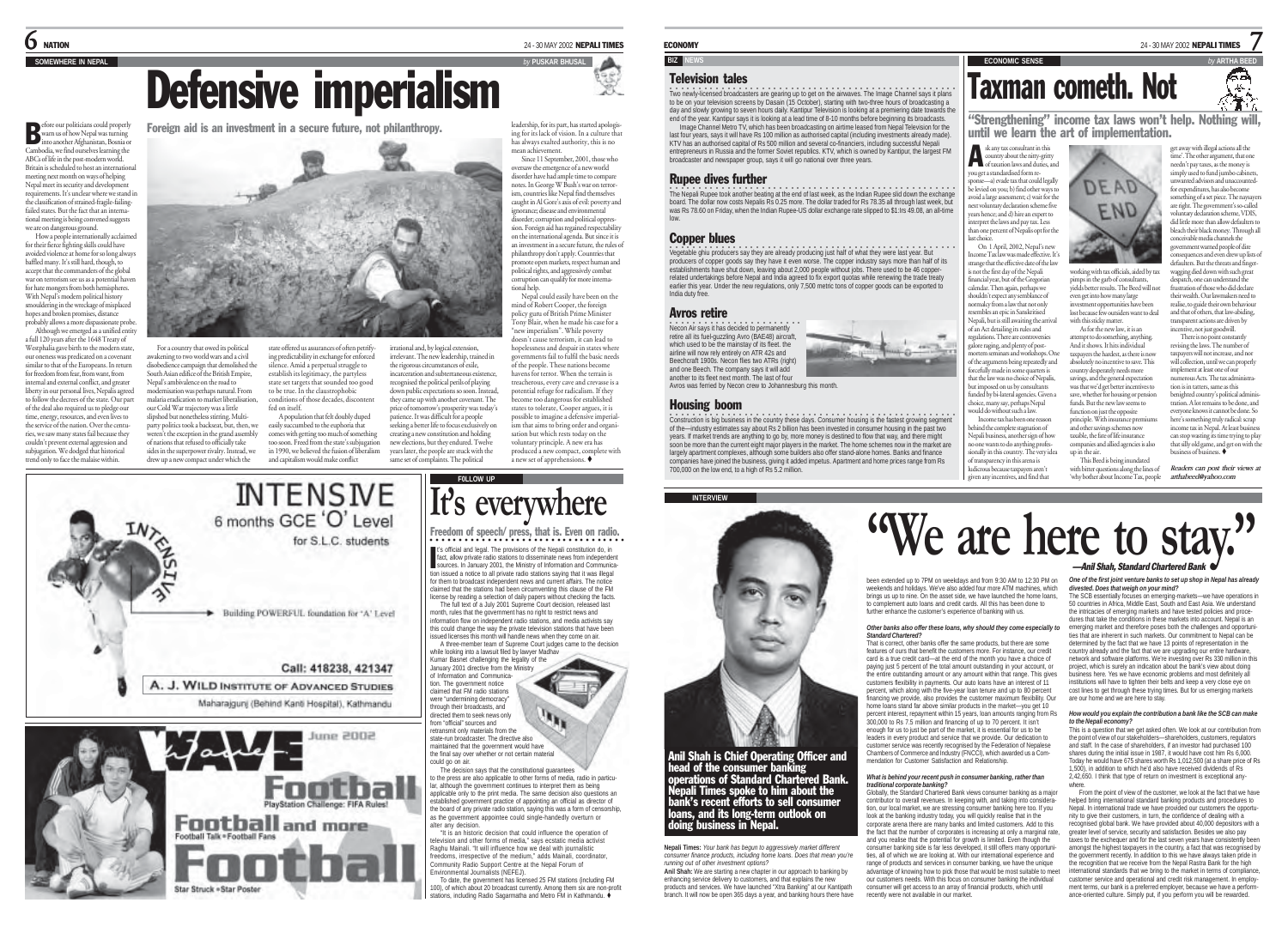# **SOMEWHERE IN REPALL**

Foreign aid is an investment in a secure future, not philanthropy.

warn us of how Nepal was turning into another Afghanistan, Bosnia or Cambodia, we find ourselves learning the ABCs of life in the post-modern world. Britain is scheduled to host an international meeting next month on ways of helping Nepal meet its security and developme requirements. It's unclear where we stand in the classification of strained-fragile-failingfailed states. But the fact that an international meeting is being convened suggests B

.<br>ore our politicians could properly

we are on dangerous ground. How a people internationally acclaimed for their fierce fighting skills could have avoided violence at home for so long always baffled many. It's still hard, though, to accept that the commanders of the global war on terrorism see us as a potential haven for hate mongers from both hemispheres. With Nepal's modern political history smouldering in the wreckage of misplaced hopes and broken promises, distance probably allows a more dispassionate probe.

Although we emerged as a unified entity a full 120 years after the 1648 Treaty of

Westphalia gave birth to the modern state,<br>our openess was predicated on a covenant our oneness was predicated on a covenant similar to that of the Europeans. In return for freedom from fear, from want, from internal and external conflict, and greater liberty in our personal lives, Nepalis agreed to follow the decrees of the state. Our part of the deal also required us to pledge our time, energy, resources, and even lives to the service of the nation. Over the centuries, we saw many states fail because they couldn't prevent external aggression and subjugation. We dodged that historical trend only to face the malaise within.

For a country that owed its political awakening to two world wars and a civil disobedience campaign that demolished the South Asian edifice of the British Empire, Nepal's ambivalence on the road to modernisation was perhaps natural. From malaria eradication to market liberalisation, our Cold War trajectory was a little slipshod but nonetheless stirring. Multiparty politics took a backseat, but, then, we weren't the exception in the grand assembly of nations that refused to officially take sides in the superpower rivalry. Instead, we drew up a new compact under which the

state offered us assurances of often petrifying predictability in exchange for enforced predictionly in exeminge for emote<br>nce. Amid a perpetual struggle to establish its legitimacy, the partyless state set targets that sounded too good to be true. In the claustrophobic fed on itself.

A. J. WILD INSTITUTE OF ADVANCED STUDIES Maharajguni (Behind Kanti Hospital), Kathmandu

**Football** and more

Football Talk . Football Fans

Star Struck + Star Poste

conditions of those decades, discontent A population that felt doubly duped<br>easily succumbed to the euphoria that cumbed to the euphoria that comes with getting too much of something too soon. Freed from the state's subjugation in 1990, we believed the fusion of liberalism and capitalism would make conflict they came up with another covenant. The creating a new constitution and holding new elections, but they endured. Twelve

**INTENSIVE** 6 months GCE 'O' Level

for S.L.C. students

S005 soul.

leadership, for its part, has started apologising for its lack of vision. In a culture that has always exalted authority, this is no mean achievement.

Since 11 September, 2001, those who oversaw the emergence of a new world disorder have had ample time to compare notes. In George W Bush's war on terrorism, countries like Nepal find themselves caught in Al Gore's axis of evil: poverty and ignorance: disease and environm

disorder; corruption and political oppression. Foreign aid has regained respectability on the international agenda. But since it is an investment in a secure future, the rules of philanthropy don't apply. Countries that promote open markets, respect human and political rights, and aggressively combat corruption can qualify for more international help.

Nepal could easily have been on the mind of Robert Cooper, the foreign policy guru of British Prime Minister Tony Blair, when he made his case for a "new imperialism". While poverty doesn't cause terrorism, it can lead to hopelessness and despair in states where governments fail to fulfil the basic needs of the people. These nations become havens for terror. When the terrain is treacherous, every cave and crevasse is a potential refuge for radicalism. If they become too dangerous for established states to tolerate, Cooper argues, it is possible to imagine a defensive imperialism that aims to bring order and organisation but which rests today on the voluntary principle. A new era has

**ECONOMY** 24 - 30 MAY 2002 **NEPALI TIMES** 

# **BIZ NEWS EXECUTE ARTHA BEEDING SENSE by** ARTHA BEEDING SENSE

# Television tales

.<br>Two newly-licensed broadcasters are gearing up to get on the airwaves. The Image Channel says it plans<br>to be on your television screens by Dasain (15 October), starting with two-three hours of broadcasting a day and slowly growing to seven hours daily. Kantipur Television is looking at a premiering date towards the

end of the year. Kantipur says it is looking at a lead time of 8-10 months before beginning its broadcasts. Image Channel Metro TV, which has been broadcasting on airtime leased from Nepal Television for the last four years, says it will have Rs 100 million as authorised capital (including investments already made). KTV has an authorised capital of Rs 500 million and several co-financiers, including successful Nepali entrepreneurs in Russia and the former Soviet republics. KTV, which is owned by Kantipur, the largest FM broadcaster and newspaper group, says it will go national over three years.

# Rupee dives further

.<br>The Nepali Rupee took another beating at the end of last week, as the Indian Rupee slid down the exchange board. The dollar now costs Nepalis Rs 0.25 more. The dollar traded for Rs 78.35 all through last week, but was Rs 78.60 on Friday, when the Indian Rupee-US dollar exchange rate slipped to \$1:Irs 49.08, an all-time low.

# Copper blues

•<br>Vegetable ghiu producers say they are already producing just half of what they were last year. But producers of copper goods say they have it even worse. The copper industry says more than half of its establishments have shut down, leaving about 2,000 people without jobs. There used to be 46 copperrelated undertakings before Nepal and India agreed to fix export quotas while renewing the trade treaty earlier this year. Under the new regulations, only 7,500 metric tons of copper goods can be exported to India duty free.

# Avros retire

**INTERVIEW**

•<br>Necon Air says it has decided to permanently retire all its fuel-guzzling Avro (BAE48) aircraft, which used to be the mainstay of its fleet. the airline will now rely entirely on ATR 42s and Beechcraft 1900s. Necon flies two ATRs (right) and one Beech. The company says it will add another to its fleet next month. The last of four

Avros was ferried by Necon crew to Johannesburg this month.

**Nepali Times:** *Your bank has begun to aggressively market different consumer finance products, including home loans. Does that mean you're*

Anil Shah is Chief Operating Officer and head of the consumer banking operations of Standard Chartered Bank. Nepali Times spoke to him about the bank's recent efforts to sell consumer loans, and its long-term outlook on

**Anil Shah:** We are starting a new chapter in our approach to banking by enhancing service delivery to customers, and that explains the new products and services. We have launched "Xtra Banking" at our Kantipath branch. It will now be open 365 days a year, and banking hours there have

*running out of other investment options?*

oing business in Nepal.

○○○○○○○○○○○○○○○○○○○○○○○○○○○○○○○○○○○○○○○○○○○○○○○○○○ Construction is big business in the country these days. Consumer housing is the fastest growing segment of the—industry estimates say about Rs 2 billion has been invested in consumer housing in the past two years. If market trends are anything to go by, more money is destined to flow that way, and there might soon be more than the current eight major players in the market. The home schemes now in the market are largely apartment complexes, although some builders also offer stand-alone homes. Banks and finance companies have joined the business, giving it added impetus. Apartment and home prices range from Rs 700,000 on the low end, to a high of Rs 5.2 million.



"Strengthening" income tax laws won't help. Nothing will,

Taxman cometh. Not

you get a standardised form re-

ings unit the measure.<br>not the first day of the Nepali financial year, but of the Gregorian calendar. Then again, perhaps we shouldn't expect any semblance of normalcy from a law that not only sembles an epic in Sanskritised Nepali, but is still awaiting the arrival of an Act detailing its rules and regulations. There are controversie we raging, and plenty of posttem seminars and workshops. One of the arguments being repeatedly and encefully made in some quarters is that the law was no choice of Nepalis,

last choice.

working with tax officials, aided by tax <sup>p</sup>imps in the garb of consultants, yields better results. The Beed will not even get into how many large investment opportunities have been lost because few outsiders want to deal with this sticky matter.

As for the new law, it is an attempt to do something, anything. And it shows. It hits individual taxpayers the hardest, as there is now absolutely no incentive to save. This country desperately needs more savings, and the general expectation was that we'd get better incentives to was unit we stige sense income to funds. But the new law seems to function on just the opposite principle. With insurance prem incentive, not just goodwill. revising the laws. The number of taxpayers will not increase, and nor will collection, until we can properly implement at least one of our

*Readers can post their views at*

7

κэ ۸Ķ.

ay with illegal actions all the time'. The other argument, that one needn't pay taxes, as the money is simply used to fund jumbo cabinets unted advisors and unaccounted for expenditures, has also become hing of a set piece. The nays are right. The government's so-called voluntary declaration scheme, VDIS, did little more than allow defaulters to bleach their black money. Through all conceivable media channels the enment warned people of dire consequences and even drew up lists of defaulters. But the threats and fingerwagging died down with such great despatch, one can understand the frustration of those who did declare their wealth. Our lawmakers need to realise, to guide their own behaviour and that of others, that law-abiding, transparent actions are driven by

There is no point constantly

numerous Acts. The tax administra-

*arthabeed@yahoo.com*

imposed on us by consultants funded by bi-lateral agencies. Given a choice, many say, perhaps Nepal would do without such a law. Income tax has been one r behind the complete stagnation of Nepali business, another sign of how and other savings schemes now taxable, the fate of life insurance panies and allied agencies is also up in the air. This Beed is being inundated tion is in tatters, same as this benighted country's political admini tration. A lot remains to be done, and everyone knows it cannot be done. So here's something truly radical: scrap income tax in Nepal. At least busin

ne wants to do anything professionally in this country. The very idea of transparency in this arena is ludicrous because taxpayers aren't given any incentives, and find that with bitter questions along the lines of 'why bother about Income Tax, people can stop wasting its time trying to play that silly old game, and get on with the business of business.

**"We are here to stay."**

been extended up to 7PM on weekdays and from 9:30 AM to 12:30 PM on weekends and holidays. We've also added four more ATM machines, which brings us up to nine. On the asset side, we have launched the home loans, to complement auto loans and credit cards. All this has been done to further enhance the customer's experience of banking with us. *Other banks also offer these loans, why should they come especially to*

That is correct, other banks offer the same products, but there are some features of ours that benefit the customers more. For instance, our credit card is a true credit card—at the end of the month you have a choice of paying just 5 percent of the total amount outstanding in your account, or the entire outstanding amount or any amount within that range. This gives customers flexibility in payments. Our auto loans have an interest of 11 percent, which along with the five-year loan tenure and up to 80 percent financing we provide, also provides the customer maximum flexibility. Our home loans stand far above similar products in the market-you get 10 percent interest, repayment within 15 years, loan amounts ranging from Rs 300,000 to Rs 7.5 million and financing of up to 70 percent. It isn't enough for us to just be part of the market, it is essential for us to be leaders in every product and service that we provide. Our dedication to customer service was recently recognised by the Federation of Nepalese Chambers of Commerce and Industry (FNCCI), which awarded us a Commendation for Customer Satisfaction and Relationship. *What is behind your recent push in consumer banking, rather than*

Globally, the Standard Chartered Bank views consumer banking as a major contributor to overall revenues. In keeping with, and taking into consideration, our local market, we are stressing consumer banking here too. If you look at the banking industry today, you will quickly realise that in the corporate arena there are many banks and limited customers. Add to this the fact that the number of corporates is increasing at only a marginal rate, and you realise that the potential for growth is limited. Even though the consumer banking side is far less developed, it still offers many opportunities, all of which we are looking at. With our international experience and range of products and services in consumer banking, we have the unique advantage of knowing how to pick those that would be most suitable to meet our customers needs. With this focus on consumer banking the individual consumer will get access to an array of financial products, which until

*Standard Chartered?*

*traditional corporate banking?*

recently were not available in our mark

# —Anil Shah, Standard Chartered Bank

*One of the first joint venture banks to set up shop in Nepal has already*

*divested. Does that weigh on your mind?*<br>The SCB essentially focuses on emerging-markets—we have operations in<br>50 countries in Africa, Middle East, South and East Asia. We understand the intricacies of emerging markets and have tested policies and procedures that take the conditions in these markets into account. Nepal is an emerging market and therefore poses both the challenges and opportunities that are inherent in such markets. Our commitment to Nepal can be

determined by the fact that we have 13 points of representation in the country already and the fact that we are upgrading our entire hardware, network and software platforms. We're investing over Rs 330 million in this project, which is surely an indication about the bank's view about doing business here. Yes we have economic problems and most definitely all institutions will have to tighten their belts and keep a very close eye on cost lines to get through these trying times. But for us emerging markets are our home and we are here to stay.

## *How would you explain the contribution a bank like the SCB can make to the Nepali economy?*

This is a question that we get asked often. We look at our contribution from the point of view of our stakeholders—shareholders, customers, regulators and staff. In the case of shareholders, if an investor had purchased 100 shares during the initial issue in 1987, it would have cost him Rs 6,000. Today he would have 675 shares worth Rs 1,012,500 (at a share price of Rs 1,500), in addition to which he'd also have received dividends of Rs 2,42,650. I think that type of return on investment is exceptional any-

where. From the point of view of the customer, we look at the fact that we have helped bring international standard banking products and procedures to Nepal. In international trade we have provided our customers the opportunity to give their customers, in turn, the confidence of dealing with a recognised global bank. We have provided about 40,000 depositors with a greater level of service, security and satisfaction. Besides we also pay taxes to the exchequer and for the last seven years have consistently been amongst the highest taxpayers in the country, a fact that was recognised by the government recently. In addition to this we have always taken pride in the recognition that we receive from the Nepal Rastra Bank for the high international standards that we bring to the market in terms of compliance, customer service and operational and credit risk management. In employment terms, our bank is a preferred employer, because we have a performance-oriented culture. Simply put, if you perform you will be rewarded.

Building POWERFUL foundation for "A" Level month, rules that the government has no right to restrict news and A three-member team of Supreme Court judges came to the decision while looking into a lawsuit filed by lawyer Madhav Kumar Basnet challenging the legality of the Call: 418238, 421347 January 2001 directive from the Ministry

of Information and Communication. The government notice claimed that FM radio stations were "undermining democracy" through their broadcasts, and directed them to seek news only from "official" sources and retransmit only materials from the state-run broadcaster. The directive also maintained that the government would have the final say over whether or not certain material could go on air.

to the press are also applicable to other forms of media, radio in particular, although the government continues to interpret them as being and antibogicable only to the print media. The same decision also questions an established government practice of appointing an official as director of the board of any private radio station, saying this was a form of censorship as the government appointee could single-handedly overturn or alter any decision.

television and other forms of media," says ecstatic media activist Raghu Mainali. "It will influence how we deal with journalistic freedoms, irrespective of the medium," adds Mainali, coordinator Community Radio Support Centre at the Nepal Forum of Environmental Journalists (NEFEJ).

100), of which about 20 broadcast currently. Among them six are non-profit



# Freedom of speech/ press, that is. Even on radio. ○○○○ ○○○○○○○○○○○○○○○○○○○○○○○○○○○○○○

t's official and legal. The provisions of the Nepali constitution do, in It's official and legal. The provisions of the Nepali constitution do, in<br>fact, allow private radio stations to disseminate news from independent<br>sources. In January 2001, the Ministry of Information and Communication issued a notice to all private radio stations saying that it was illegal for them to broadcast independent news and current affairs. The notice claimed that the stations had been circumventing this clause of the FM license by reading a selection of daily papers without checking the facts. The full text of a July 2001 Supreme Court decision, released last

information flow on independent radio stations, and media activists say this could change the way the private television stations that have been issued licenses this month will handle news when they come on air.

stations, including Radio Sagarmatha and Metro FM in Kathmandu.  $\blacklozenge$ 

 $\mathbf{u}_k$ 

The decision says that the constitutional guarantees

"It is an historic decision that could influence the operation of

To date, the government has licensed 25 FM stations (including FM

same set of complaints. The political F<sub>0LLOW</sub> UP

produced a new compact, complete with a new set of apprehensions.

Housing boom

rrational and, by logical extension irrelevant. The new leadership, trained in the rigorous circumstances of exile, incarceration and subterraneous existence, recognised the political perils of playing down public expectations so soon. Instead,

price of tomorrow's prosperity was today's patience. It was difficult for a people seeking a better life to focus exclusively on

years later, the people are stuck with the

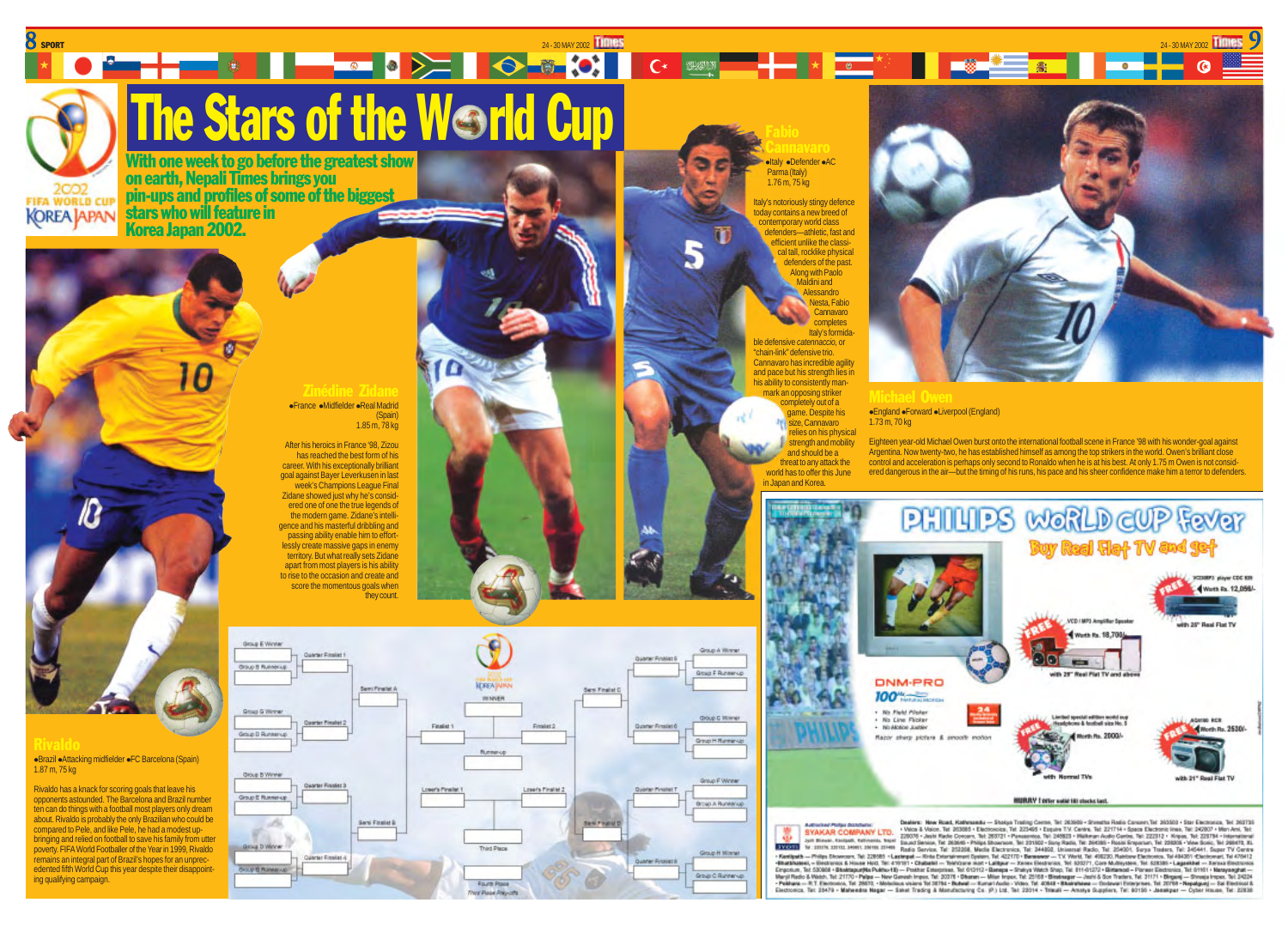**KOREA JAPAN** 

1.87 m, 75 kg

ing qualifying campaign.

# 8 SPORT 24 - 30 MAY 2002 24 - 30 MAY 2002 **The Stars of the Werld Cup Fabio Cannavaro**

With one week to go before the greatest show on earth, Nepali Times brings you pin-ups and profiles of some of the biggest stars who will feature in Korea Japan 2002.

# Zinédine Zidane **• France • Midfielder • Real Madrid** (Spain)

1.85 m, 78 kg

After his heroics in France '98, Zizou has reached the best form of his career. With his exceptionally brilliant goal against Bayer Leverkusen in last week's Champions League Final Zidane showed just why he's considered one of one the true legends of the modern game. Zidane's intelligence and his masterful dribbling and passing ability enable him to effortlessly create massive gaps in enemy territory. But what really sets Zidane apart from most players is his ability to rise to the occasion and create and score the momentous goals when they count.



**altaly aDefender aAC** Parma (Italy) 1.76 m, 75 kg

> Italy's notoriously stingy defence today contains a new breed of contemporary world class defenders—athletic, fast and efficient unlike the classical tall, rocklike physical defenders of the past. Along with Paolo **Maldini and Alessandro** Nesta, Fabio **Cannavaro** completes

Italy's formida ble defensive *catennaccio,* or "chain-link" defensive trio. Cannavaro has incredible agility and pace but his strength lies in his ability to consistently manmark an opposing striker completely out of a game. Despite his size, Cannavaro relies on his physical strength and mobility and should be a threat to any attack the world has to offer this June in Japan and Korea.



24-30 MAY 2002 **TIMIES** 

# **England •Forward •Liverpool (England)** 1.73 m, 70 kg

Eighteen year-old Michael Owen burst onto the international football scene in France '98 with his wonder-goal against Argentina. Now twenty-two, he has established himself as among the top strikers in the world. Owen's brilliant close control and acceleration is perhaps only second to Ronaldo when he is at his best. At only 1.75 m Owen is not considered dangerous in the air—but the timing of his runs, his pace and his sheer confidence make him a terror to defenders.



Dealers: New Road, Kathmasda - Shakus Trading Cente, Tel 20300) - Sheetha Radio Concert Tel: 30300 - Star Electronics, Tel: 202135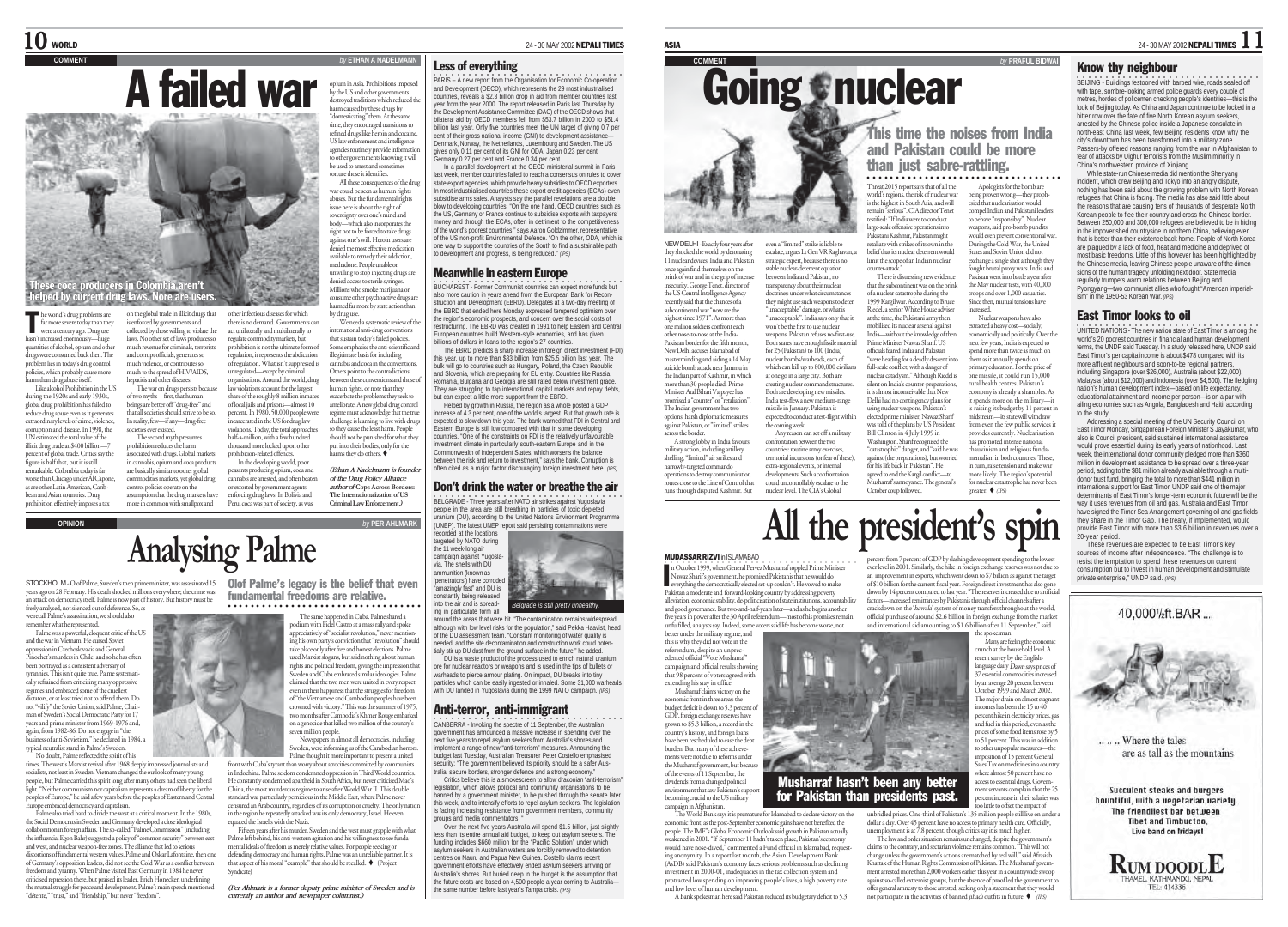

hepatitis and other diseases.

associated with drugs. Global markets in cannabis, opium and coca products are basically similar to other global commodities markets, yet global drug control policies operate on the assumption that the drug markets have more in common with smallpox and

he world's drug problems are<br>far more severe today than the<br>were a century aro. Drug use far more severe today than they were a century ago. Drug use<br>hasn't increased enormously-huse on the global trade in illicit drugs that is enforced by governments and

hasn't increased enormously—huge quantities of alcohol, opium and other drugs were consumed back then. The problem lies in today's drug control **policies, which probably cause more** harm than drug abuse itself. Like alcohol Prohibition in the US collected by those willing to violate the laws. No other set of laws produces so much revenue for criminals, terrorists and corrupt officials, generates so much violence, or contributes so much to the spread of HIV/AIDS,

during the 1920s and early 1930s, global drug prohibition has failed to reduce drug abuse even as it generate extraordinary levels of crime, violence, corruption and disease. In 1998, the UN estimated the total value of the illicit drug trade at \$400 billion— The war on drugs persists because of two myths—first, that human beings are better off "drug-free" and that all societies should strive to be so. In reality, few—if any—drug-free societies ever existed. The second myth presumes prohibition reduces the harm

percent of global trade. Critics say the figure is half that, but it is still remarkable. Colombia today is far worse than Chicago under Al Capone as are other Latin American, Caribbean and Asian countries. Drug pean and commenced and a<br>prohibition effectively imposes a tax

opium in Asia. Prohibitions imposed by the US and other governments destroyed traditions which reduced the harm caused by these drugs by "domesticating" them. At the same time, they encouraged transitions to refined drugs like heroin and cocaine. US law enforcement and intelligence co law enforcement and intelligence

**COMMENTARY BY** ETHAN A NADELMANN

to other governments knowing it will be used to arrest and sometimes torture those it identifies. All these consequences of the dr

war could be seen as human rights abuses. But the fundamental rights abuses. Dut the rundamental ri<br>issue here is about the right of vereignty over one's mind and body—which also incorporates the right not to be forced to take drugs against one's will. Heroin users are denied the most effective medication available to remedy their addiction, methadone. People unable or unwilling to stop injecting drugs are denied access to sterile syringes. Millions who smoke mariju consume other psychoactive drugs are hance outer psychoacene energin<br>med far more by state action than

other infectious diseases for which there is no demand. Governments can act unilaterally and multilaterally to e commodity markets, but prohibition is not the ultimate form of regulation, it represents the abdication by drug use. We need a systematic review of the mational anti-drug conventions that sustain today's failed policies. Some emphasise the anti-scientific and illegitimate basis for including

of regulation. What isn't suppressed is unregulated—except by criminal anisations. Around the world, drug law violations account for the largest share of the mughly 8 million in mate of local jails and prisons—almost 10 nabis and coca in the con Others point to the contradictions ween these conventions and thos human rights, or note that they exacerbate the problems they seek to ameliorate. A new global drug control regime must acknowledge that the true challenge is learning to live with drugs so they cause the least harm. People should not be punished for what the harms they do others.

or extorted by government agents enforcing drug laws. In Bolivia and Peru, coca was part of society, as was *of the Drug Policy Alliance author of* **Cops Across Borders: The Internationalization of US Criminal Law Enforcement***.)*

percent. In 1980, 50,000 people were incarcerated in the US for drug law violations. Today, the total approaches half-a-million, with a few hundred thousand more locked up on other prohibition-related offences. In the developing world, poor peasants producing opium, coca and cannabis are arrested, and often beaten

put into their bodies, only for the *(Ethan A Nadelmann is founder*

**OPINION** *by* **PER AHLMARK** •<br>BELGRADE - Three years after NATO air strikes against Yugoslavia people in the area are still breathing in particles of toxic depleted uranium (DU), according to the United Nations Environment Programme (UNEP). The latest UNEP report said persisting contaminations were



Don't drink the water or breathe the air

around the areas that were hit. "The contamination remains widespread, although with low level risks for the population," said Pekka Haavist, head of the DU assessment team. "Constant monitoring of water quality is needed, and the site decontamination and construction work could potentially stir up DU dust from the ground surface in the future," he added.

•<br>PARIS – A new report from the Organisation for Economic Co-operation

and Development (OECD), which represents the 29 most industrialised countries, reveals a \$2.3 billion drop in aid from member countries last year from the year 2000. The report released in Paris last Thursday by the Development Assistance Committee (DAC) of the OECD shows that bilateral aid by OECD members fell from \$53.7 billion in 2000 to \$51.4 billion last year. Only five countries meet the UN target of giving 0.7 per cent of their gross national income (GNI) to development assist Denmark, Norway, the Netherlands, Luxembourg and Sweden. The US gives only 0.11 per cent of its GNI for ODA, Japan 0.23 per cent, Germany 0.27 per cent and France 0.34 per cent. In a parallel development at the OECD ministerial summit in Paris last week, member countries failed to reach a consensus on rules to cover state export agencies, which provide heavy subsidies to OECD exporters. In most industrialised countries these export credit agencies (ECAs) even subsidise arms sales. Analysts say the parallel revelations are a double blow to developing countries. "On the one hand, OECD countries such as the US, Germany or France continue to subsidise exports with taxpayers' money and through the ECAs, often in detriment to the competitiveness of the world's poorest countries," says Aaron Goldzimmer, representative of the US non-profit Environmental Defence. "On the other, ODA, which is one way to support the countries of the South to find a sustainable path to development and progress, is being reduced." *(IPS)* Meanwhile in eastern Europe •<br>BUCHAREST - Former Communist countries can expect more funds but also more caution in years ahead from the European Bank for Reconstruction and Development (EBRD). Delegates at a two-day meeting of the EBRD that ended here Monday expressed tempered optimism over the region's economic prospects, and concern over the social costs of restructuring. The EBRD was created in 1991 to help Eastern and Central European countries build Western-style economies, and has given billions of dollars in loans to the region's 27 countries. The EBRD predicts a sharp increase in foreign direct investment (FDI) this year, up to more than \$33 billion from \$25.5 billion last year. The bulk will go to countries such as Hungary, Poland, the Czech Republic and Slovenia, which are preparing for EU entry. Countries like Russia, Romania, Bulgaria and Georgia are still rated below investment grade. They are struggling to tap international capital markets and repay debts, but can expect a little more support from the EBRD. Helped by growth in Russia, the region as a whole posted a GDP increase of 4.3 per cent, one of the world's largest. But that growth rate is expected to slow down this year. The bank warned that FDI in Central and Eastern Europe is still low compared with that in some developing countries. "One of the constraints on FDI is the relatively unfavourable investment climate in particularly south-eastern Europe and in the Commonwealth of Independent States, which worsens the balance between the risk and return to investment," says the bank. Corruption is often cited as a major factor discouraging foreign investment here. *(IPS)*

Less of everything

DU is a waste product of the process used to enrich natural uranium ore for nuclear reactors or weapons and is used in the tips of bullets or warheads to pierce armour plating. On impact, DU breaks into tiny particles which can be easily ingested or inhaled. Some 31,000 warheads with DU landed in Yugoslavia during the 1999 NATO campaign. *(IPS)*

# Anti-terror, anti-immigrant

•<br>CANBERRA - Invoking the spectre of 11 September, the Australian government has announced a massive increase in spending over the next five years to renel asylum seekers from Australia's shores and implement a range of new "anti-terrorism" measures. Announcing the mplement a lange of now and amoliam measures. Fundanting<br>budget last Tuesday, Australian Treasurer Peter Costello emphas security: "The government believed its priority should be a safer Australia, secure borders, stronger defence and a strong economy."

legislation, which allows political and community organisations to be banned by a government minister, to be pushed through the senate later this week, and to intensify efforts to repel asylum seekers. The legislation is facing increasing resistance from government members, community groups and media commentators. "

Over the next five years Australia will spend \$1.5 billion, just slightly

**Coing nuclear** 

they shocked the world by detonating 11 nuclear devices, India and Pakista escalate, argues Lt Gen VR Raghavan, a strategic expert, because there is no stable nuclear-deterrent equation between India and Pakistan, no transparency about their nuclear doctrines: under what circumstance they might use such weapons to deter 'unacceptable" damage, or what is "unacceptable". India says only that it won't be the first to use nuclear expected to conduct a test-flight within

> confrontation between the two countries: routine army exercises, territorial incursions (or fear of these), extra-regional events, or internal developments. Such a confrontation could uncontrollably escalate to the nuclear level. The CIA's Global

# **All the president's spin**

MUDASSAR RIZVI in ISLAMABAD

across the border.

I

n October 1999, when General Pervez Musharraf toppled Prime Minister Nawaz Sharif's government, he promised Pakistanis that he would do everything the democratically elected set-up couldn't. He vowed to make Pakistan a moderate and forward-looking country by addressing poverty alleviation, economic stability, de-politicisation of state institutions, accountability and good governance. But two-and-half-years later—and as he begins another for the 30 April referendum—most of his promises remain unfulfilled, analysts say. Indeed, some voters said life has become worse, not

better under the military regime, and this is why they did not vote in the referendum, despite an unprecedented official "Vote Musharraf" campaign and official results showing that 98 percent of voters agreed with extending his stay in office. Musharraf claims victory on the economic front in three areas: the budget deficit is down to 5.3 percent of GDP, foreign exchange reser grown to \$5.3 billion, a record in the country's history, and foreign loans have been rescheduled to ease the debt burden. But many of these achievements were not due to reforms under

the Musharraf government, but because of the events of 11 September, the dividends from a changed political environment that saw Pakistan's sup becoming crucial to the US military campaign in Afghanistan.

The World Bank says it is premature for Islamabad to declare victory on the economic front, as the post-September economic gains have not benefited the people. The IMF"s Global Economic Outlook said growth in Pakistan actually ened in 2001. "If September 11 hadn't taken place, Pakistan's e weasened in 2001. In september 11 nadit t taken piace, rakistan seconomy<br>would have nose-dived," commented a Fund official in Islamabad, reques ing anonymity. In a report last month, the Asian Development Bank (AsDB) said Pakistan's economy faces serious problems such as declining investment in 2000-01, inadequacies in the tax collection system and protracted low spending on improving people's lives, a high poverty rate and low level of human development. A Bank spokesman here said Pakistan reduced its budgetary deficit to 5.3

# Know thy neighbour

•<br>BEIJING - Buildings festooned with barbed wire, roads sealed off with tape, sombre-looking armed police guards every couple of metres, hordes of policemen checking people's identities—this is the look of Beijing today. As China and Japan continue to be locked in a bitter row over the fate of five North Korean asylum seekers, arrested by the Chinese police inside a Japanese consulate in north-east China last week, few Beijing residents know why the city's downtown has been transformed into a military zone. Passers-by offered reasons ranging from the war in Afghanistan to fear of attacks by Uighur terrorists from the Muslim minority in China's northwestern province of Xinjiang.

While state-run Chinese media did mention the Shenyang incident, which drew Beijing and Tokyo into an angry dispute, nothing has been said about the growing problem with North Korean refugees that China is facing. The media has also said little about the reasons that are causing tens of thousands of desperate North Korean people to flee their country and cross the Chinese border. Between 250,000 and 300,000 refugees are believed to be in hiding in the impoverished countryside in northern China, believing even that is better than their existence back home. People of North Korea are plagued by a lack of food, heat and medicine and deprived of most basic freedoms. Little of this however has been highlighted by the Chinese media, leaving Chinese people unaware of the dimensions of the human tragedy unfolding next door. State media regularly trumpets warm relations between Beijing and Pyongyang—two communist allies who fought "American imperialism" in the 1950-53 Korean War. *(IPS)*

# East Timor looks to oil

•<br>UNITED NATIONS - The new nation state of East Timor is among the world's 20 poorest countries in financial and human development<br>terms the LINDP said Tuesday In a study released here. LINDP said terms, the UNDP said Tuesday. In a study released here, UNDP said East Timor's per capita income is about \$478 compared with its more affluent neighbours and soon-to-be regional partners. including Singapore (over \$26,000), Australia (about \$22,000), Malaysia (about \$12,000) and Indonesia (over \$4,500). The fledgling nation's human development index—based on life expectancy, educational attainment and income per person—is on a par with ailing economies such as Angola, Bangladesh and Haiti, according to the study. Addressing a special meeting of the UN Security Council on

East Timor Monday, Singaporean Foreign Minister S Jayakumar, who also is Council president, said sustained international assistance would prove essential during its early years of nationhood. Last week, the international donor community pledged more than \$360 million in development assistance to be spread over a three-year period, adding to the \$81 million already available through a multidonor trust fund, bringing the total to more than \$441 million in international support for East Timor. UNDP said one of the major determinants of East Timor's longer-term economic future will be the way it uses revenues from oil and gas. Australia and East Timor have signed the Timor Sea Arrangement governing oil and gas fields they share in the Timor Gap. The treaty, if implemented, would provide East Timor with more than \$3.6 billion in revenues over a 20-year period.

These revenues are expected to be East Timor's key sources of income after independence. "The challenge is to resist the temptation to spend these revenues on current consumption but to invest in human development and stimulate private enterprise," UNDP said. *(IPS)*

40.0001/<sub>2</sub>ft.BAR.... .... Where the tales are as tall as the mountains Succulent steaks and burgers bountiful, with a vegetarian variety.

The friendliest har hetween **Tibet and Timbuctoo,** Live band on fridays

**RUM DOODLE** HAMEL, KATHMANDU, NEI



front with Cuba's tyrant than worry about atrocities committed by communists in Indochina. Palme seldom condemned oppression in Third World countries. He constantly condemned apartheid in South Africa, but never criticised Mao's China, the most murderous regime to arise after World War II. This double standard was particularly pernicious in the Middle East, where Palme never

censured an Arab country, regardless of its corruption or cruelty. The only nation in the region he repeatedly attacked was its only democracy. Israel. He even equated the Israelis with the Nazis. Fifteen years after his murder, Sweden and the west must grapple with what

Palme left behind, his anti-western agitation and his willingness to see fundamental ideals of freedom as merely relative values. For people seeking or defending democracy and human rights, Palme was an unreliable partner. It is that aspect of his moral "example" that should be recalled. (Project Syndicate)

*(Per Ahlmark is a former deputy prime minister of Sweden and is currently an author and newspaper columnist.)*

Olof Palme's legacy is the belief that even

# **Analysing Palme**

STOCKHOLM - Olof Palme, Sweden's then prime minister, was assassinated 15 years ago on 28 February. His death shocked millions everywhere; the crime was an attack on democracy itself. Palme is now part of history. But history must be freely analysed, not silenced out of deference. So, as

we recall Palme's assassination, we should also remember what he represented.

Palme was a powerful, eloquent critic of the US and the war in Vietnam. He cursed Soviet oppression in Czechoslovakia and General Pinochet's murders in Chile, and so he has often been portrayed as a consistent adversary of tyrannies. This isn't quite true. Palme systematically refrained from criticising many oppressive regimes and embraced some of the cruellest dictators, or at least tried not to offend them. Do not "vilify" the Soviet Union, said Palme, Chairman of Sweden's Social Democratic Party for 17 years and prime minister from 1969-1976 and, again, from 1982-86. Do not engage in "the

business of anti-Sovietism," he declared in 1984, a

typical neutralist stand in Palme's Sweden. No doubt, Palme reflected the spirit of his times. The west's Marxist revival after 1968 deeply impressed journalists and socialists, not least in Sweden. Vietnam changed the outlook of many young people, but Palme carried this spirit long after many others had seen the liberal light. "Neither communism nor capitalism represents a dream of liberty for the peoples of Europe," he said a few years before the peoples of Eastern and Central Europe embraced democracy and capitalism.

Palme also tried hard to divide the west at a critical moment. In the 1980s the Social Democrats in Sweden and Germany developed a close ideological collaboration in foreign affairs. The so-called "Palme Commission" (including the influential Egon Bahr) suggested a policy of "common security" between east and west, and nuclear weapon-free zones. The alliance that led to serious distortions of fundamental western values. Palme and Oskar Lafontaine, then one of Germany's opposition leaders, did not see the Cold War as a conflict between freedom and tyranny. When Palme visited East Germany in 1984 he never criticised repression there, but praised its leader, Erich Honecker, underlining the mutual struggle for peace and development. Palme's main speech mentioned "détente," "trust," and "friendship," but never "freedom".

The same happened in Cuba. Palme shared a podium with Fidel Castro at a mass rally and spoke appreciatively of "socialist revolution," never me **ing his own party's conviction that "revolution" should** take place only after free and honest elections. Palme used Marxist slogans, but said nothing about human rights and political freedom, giving the impression that

Sweden and Cuba embraced similar ideologies. Palme claimed that the two men were united in every respect, even in their happiness that the struggles for freedom of "the Vietnamese and Cambodian peoples have been crowned with victory." This was the summer of 1975, two months after Cambodia's Khmer Rouge embarked on a genocide that killed two million of the country's

Newspapers in almost all democracies, including Sweden, were informing us of the Cambodian horrors. Palme thought it more important to present a united

Critics believe this is a smokescreen to allow draconian "anti-terrorism"

less than its entire annual aid budget, to keep out asylum seekers. The funding includes \$660 million for the "Pacific Solution" under which asylum seekers in Australian waters are forcibly removed to detention centres on Nauru and Papua New Guinea. Costello claims recent government efforts have effectively ended asylum seekers arriving on Australia's shores. But buried deep in the budget is the assumption that the future costs are based on 4,500 people a year coming to Australia the same number before last year's Tampa crisis. *(IPS)*

NEW DELHI - Exactly four years after even a "limited" strike is liable to

once again find themselves on the brink of war and in the grip of inter insecurity. George Tenet, director of the US Central Intelligence Agency recently said that the chances of a subcontinental war "now are the highest since 1971". As more that one million soldiers confront each other nose-to-nose at the India-Pakistan border for the fifth month, New Delhi accuses Islamabad of masterminding and aiding a 14 May suicide bomb attack near Jammu in the Indian part of Kashmir, in which more than 30 people died. Prime Minister Atal Bihari Vajpayee has promised a "counter" or "retaliation". The Indian government has two options: harsh diplomatic measures against Pakistan, or "limited" strikes the coming week.

A strong lobby in India favours military action, including artillery shelling, "limited" air strikes and narrowly-targeted commando operations to destroy communication routes close to the Line of Control that runs through disputed Kashmir. But Any reason can set off a military

### weapons. Pakistan refuses no-first-use. Both states have enough fissile material for 25 (Pakistan) to 100 (India) nuclear bombs/warheads, each of which can kill up to 800,000 civilian at one go in a large city. Both are creating nuclear command structures. Both are developing new missiles. India test-flew a new medium-range missile in January. Pakistan is India—without the knowledge of then Prime Minister Nawaz Sharif. US officials feared India and Pakistan "were heading for a deadly descent into full-scale conflict, with a danger of nuclear cataclysm." Although Riedel is silent on India's counter-preparations, it is almost inconceivable that New Delhi had no contingency plans for using nuclear weapons. Pakistan's

elected prime minister, Nawaz Sharif was told of the plans by US President Bill Clinton in 4 July 1999 in Washington. Sharif recognised the for his life back in Pakistan". He agreed to end the Kargil conflict—to October coup followed.

### "catastrophic" danger, and "said he was against (the preparations), but worried Musharraf's annoyance. The general's provides currently. Nuclearisation has promoted intense national chauvinism and religious fundamentalism in both countries. These in turn, raise tension and make war more likely. The region's potential for nuclear catastrophe has never been greater.  $\blacklozenge$  (IPS)

Threat 2015 report says that of all the world's regions, the risk of nuclear war is the highest in South Asia, and will remain "serious". CIA director Tenet testified: "If India were to conduct large-scale offensive operations into Pakistani Kashmir, Pakistan might retaliate with strikes of its own in the belief that its nuclear deterrent would limit the scope of an Indian nuclear counter-attack." There is distressing new evidence that the subcontinent was on the brink of a nuclear catastrophe during the 1999 Kargil war. According to Bruce Riedel, a senior White House adviser at the time, the Pakistani army then mobilised its nuclear arsenal against

This time the noises from India and Pakistan could be more than just sabre-rattling. ○○○○○○○○○○○○○○○○○○○○○○○○○○○ ○○○○○○○

Apologists for the bomb are being proven wrong—they prophesied that nuclearisation would compel Indian and Pakistani leaders to behave "responsibly". Nuclear weapons, said pro-bomb pundits, would even prevent conventional war. During the Cold War, the United States and Soviet Union did not exchange a single shot although they fought brutal proxy wars. India and Pakistan went into battle a year after the May nuclear tests, with 40,000 troops and over 1,000 casualties. Since then, mutual tensions have increased. Nuclear weapons have also extracted a heavy cost—socially, economically and politically. Over the next few years, India is expected to spend more than twice as much on them as it annually spends on primary education. For the price of one missile, it could run 15,000 rural health centres. Pakistan's economy is already a shambles. As it spends more on the military—it is raising its budget by 11 percent i midstream—its state will withdraw from even the few public services it



o little to offset the impact of unbridled prices. One-third of Pakistan's 135 million people still live on under a dollar a day. Over 45 percent have no access to primary health care. Officially, unemployment is at 7.8 percent, though critics say it is much higher.

The law and order situation remains unchanged, despite the government's claims to the contrary, and sectarian violence remains common. "This will not change unless the government's actions are matched by real will," said Afrasiab Khattak of the Human Rights Commission of Pakistan. The Musharraf govern-ment arrested more than 2,000 workers earlier this year in a countrywide swoop against so-called extremist groups, but the absence of proof led the government to offer general amnesty to those arrested, seeking only a statement that they would not participate in the activities of banned jihadi outfits in future.  $\blacklozenge$  (IPS)

percent from 7 percent of GDP by slashing development spending to the lowest ever level in 2001. Similarly, the hike in foreign exchange reserves was not due to an improvement in exports, which went down to \$7 billion as against the target of \$10 billion for the current fiscal year. Foreign direct investment has also gone down by 14 percent compared to last year. "The reserves increased due to artificial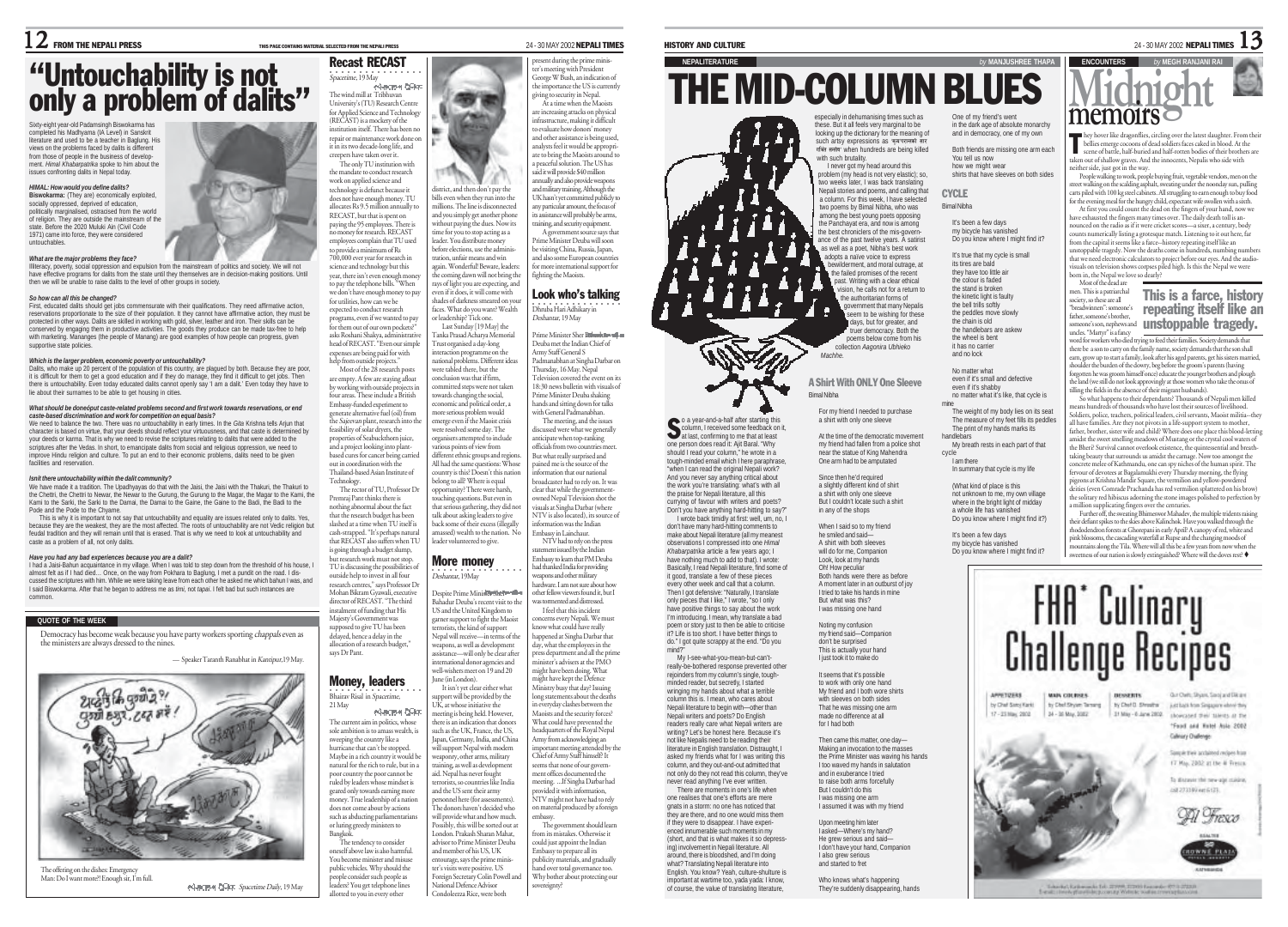Recast RECAST

# "Untouchability is not<br>only a problem of dalits"

Sixty-eight year-old Padamsingh Biswokarma has completed his Madhyama (IA Level) in Sanskrit literature and used to be a teacher in Baglung. His views on the problems faced by dalits is different from those of people in the business of develop-ment. *Himal Khabarpatrika* spoke to him about the issues confronting dalits in Nepal today.

# *HIMAL: How would you define dalits?*

**Biswokarma:** (They are) economically exploited, socially oppressed, deprived of education, politically marginalised, ostracised from the world of religion. They are outside the mainstream of the state. Before the 2020 Muluki Ain (Civil Code 1971) came into force, they were considered untouchables.

## *What are the major problems they face?*

Illiteracy, poverty, social oppression and expulsion from the mainstream of politics and society. We will not have effective programs for dalits from the state until they themselves are in decision-making positions. Until then we will be unable to raise dalits to the level of other groups in society.

## *So how can all this be changed?*

First, educated dalits should get jobs commensurate with their qualifications. They need affirmative action, reservations proportionate to the size of their population. It they cannot have affirmative action, they must be protected in other ways. Dalits are skilled in working with gold, silver, leather and iron. Their skills can be conserved by engaging them in productive activities. The goods they produce can be made tax-free to help with marketing. Mananges (the people of Manang) are good examples of how people can progress, given supportive state policies.

**Which is the larger problem, economic poverty or untouchability?**<br>Dalits, who make up 20 percent of the population of this country, are plagued by both. Because they are poor, it is difficult for them to get a good education and if they do manage, they find it difficult to get jobs. Then there is untouchability. Even today educated dalits cannot openly say 'I am a dalit.' Even today they have to lie about their surnames to be able to get housing in cities.

# *What should be doneóput caste-related problems second and first work towards reservations, or end*

*caste-based discrimination and work for competition on equal basis?* We need to balance the two. There was no untouchability in early times. In the *Gita* Krishna tells Arjun that character is based on virtue, that your deeds should reflect your virtuousness, and that caste is determined by your deeds or karma. That is why we need to revise the scriptures relating to dalits that were added to the scriptures after the Vedas. In short, to emancipate dalits from social and religious oppression, we need to improve Hindu religion and culture. To put an end to their economic problems, dalits need to be given facilities and reservation.

## *Isnít there untouchability within the dalit community?*

We have made it a tradition. The Upadhyayas do that with the Jaisi, the Jaisi with the Thakuri, the Thakuri to the Chettri, the Chettri to Newar, the Newar to the Gurung, the Gurung to the Magar, the Magar to the Kami, the Kami to the Sarki, the Sarki to the Damai, the Damai to the Gaine, the Gaine to the Badi, the Badi to the Pode and the Pode to the Chyame.

This is why it is important to not say that untouchability and equality are issues related only to dalits. Yes, because they are the weakest, they are the most affected. The roots of untouchability are not Vedic religion but feudal tradition and they will remain until that is erased. That is why we need to look at untouchability and caste as a problem of all, not only dalits.

## *Have you had any bad experiences because you are a dalit?*

I had a Jaisi-Bahun acquaintance in my village. When I was told to step down from the threshold of his house, I almost felt as if I had died… Once, on the way from Pokhara to Baglung, I met a pundit on the road. I dis-cussed the scriptures with him. While we were taking leave from each other he asked me which bahun I was, and I said Biswokarma. After that he began to address me as *timi*, not *tapai*. I felt bad but such instances are common.

# **QUOTE OF THE WEEK**

Democracy has become weak because you have party workers sporting chappals even as the ministers are always dressed to the nines.





The offering on the dishes: Emergency Man: Do I want more?! Enough sir, I'm full.

asharmat PClar, Spacetime Daily, 19 May



The only TU institution with the mandate to conduct research work on applied science and technology is defunct because it does not have enough money. TU allocates Rs 9.5 million annually t RECAST, but that is spent on paying the 95 employees. There is no money for research. RECAST employees complain that TU used to provide a minimum of Rs 700,000 ever year for research in science and technology but this year, there isn't even enough mon

to pay the telephone bills. "When we don't have enough money to pa for utilities, how can we be expected to conduct research programs, even if we wanted to pay them out of our own pockets? asks Roshani Shakya, administrative head of RECAST. "Even our simple expenses are being paid for with

help from outside projects." Most of the 28 research posts are empty. A few are staying afloat by working with outside projects in four areas. These include a British

generate alternative fuel (oil) from the Sajeevan plant, research into th feasibility of solar dryers, the properties of Seabuckthorn juice, and a project looking into plantbased cures for cancer being carried out in coordination with the Thailand-based Asian Institute of

Technology. The rector of TU, Professor Dr Premraj Pant thinks there is nothing abnormal about the fact that the research budget has been slashed at a time when TU itself is cash-strapped. "It's perhaps natural that RECAST also suffers when TU is going through a budget slump,

TU is discussing the possibilities of outside help to invest in all four research centres," says Professor D

director of RECAST. "The third instalment of funding that His Majesty's Government was supposed to give TU has been delayed, hence a delay in the allocation of a research budget," says Dr Pant.

Money, leaders ○○○○○○○○○○○○○○○○

> одистом боле aid. Nepal has never fought and the US sent their army pel here (for assess The donors haven't decided who will provide what and how much.

The tendency to consider leaders? You get telephone lines<br>allotted to you in every other .<br>Lin every other Condoleezza Rice, were both

sent during the prime minister's meeting with President George W Bush, an indication of the importance the US is currently <sup>g</sup>iving to security in Nepal. At a time when the Maoists are increasing attacks on physical infrastructure, making it difficult to evaluate how donors' money



its assistance will probably be arms, training, and security equipment. A government source says that Prime Minister Deuba will soon be visiting China, Russia, Japan, and also some European countries for more international support for fighting the Maoists.

> ○○○○○○○○○○○○ ○○○○ Dhruba Hari Adhikary in Look who's talking Deshantar, 19 May

national problems. Different ideas committed steps were not taken economic and political order, a organisers attempted to include different ethnic groups and region All had the same questions: Whose country is this? Doesn't this nation belong to all? Where is equal opportunity? There were harsh, Prime Minister Sher Bahadur Deuba met the Indian Chief of Army Staff General S Padmanabhan at Singha Darbar on Thursday, 16 May. Nepal Television covered the event on its 18:30 news bulletin with visuals of Prime Minister Deuba shaking hands and sitting down for talks with General Padmanabhan. The meeting, and the issues discussed were what we generally anticipate when top-ranking officials from two countries meet. But what really surprised and pained me is the source of the iformation that our national broadcaster had to rely on. It was clear that while the government owned Nepal Television shot the visuals at Singha Darbar (where NTV is also located), its source of ation was the Indian Embassy in Lainchaur. NTV had to rely on the press statement issued by the Indian

Despite Prime Minister Sherwiller Bahadur Deuba's recent visit to the garner support to fight the Maoist terrorists, the kind of support Nepal will receive—in terms of the weapons, as well as development assistance—will only be clear after international donor agencies and well-wishers meet on 19 and 20 June (in London). It isn't yet clear either what pport will be provided by the support was experienced.<br>UK, at whose initiative the

terrorists, so countries like India Possibly, this will be sorted out at London. Prakash Sharan Mahat, advisor to Prime Minister Deuba Foreign Secretary Colin Powell and long statements about the deathn everyday clashes between the Maoists and the security forces? What could have prevented the headquarters of the Royal Nepal Army from acknowledging an important meeting attended by the Chief of Army Staff himself? It seems that none of our government offices documented the meeting. ...If Singha Darbar had provided it with information, NTV might not have had to rely on material produced by a foreign embassy. The government should learn om its mistakes. Otherwise it could just appoint the Indian Embassy to prepare all its publicity materials, and gradually hand over total governance too. Why bother about protecting our sovereignty?

I feel that this incident concerns every Nepali. We must onecrnises expanses in the could have really ned at Singha Darbar that day, what the employees in the press department and all the prime inister's advisers at the  $\overline{\mathrm{PMO}}$ might have been doing. What might have kept the Defence Ministry busy that day? Issuin

**NEPALITERATURE** *by* **MANJUSHREE THAPA** THE MID-COLUMN BLUES



# *Machhe*. A Shirt With ONLY One Sleeve

Bimal Nibha

**S** o a year-and-a-half after starting this<br>column, I received some feedback on it,<br>at last, confirming to me that at least one person does read it: Ajit Baral. "Why

should I read your column," he wrote in a tough-minded email which I here paraphrase, "when I can read the original Nepali work? And you never say anything critical about the work you're translating: what's with all the praise for Nepali literature, all this currying of favour with writers and poets? Don't you have anything hard-hitting to say?" I wrote back timidly at first: well, um, no, I

don't have many hard-hitting comments to make about Nepali literature (all my meanest observations I compressed into one *Himal Khabarpatrika* article a few years ago; I have nothing much to add to that). I wrote: Basically, I read Nepali literature, find some of it good, translate a few of these pieces every other week and call that a column. Then I got defensive: "Naturally, I translat only pieces that I like," I wrote, "so I only have positive things to say about the work I'm introducing. I mean, why translate a bad poem or story just to then be able to criticise it? Life is too short. I have better things to

do." I got quite scrappy at the end. "Do you mind? My I-see-what-you-mean-but-can'treally-be-bothered response prevented other

rejoinders from my column's single, toughminded reader, but secretly, I started wringing my hands about what a terrible column this is. I mean, who cares about Nepali literature to begin with—other than Nepali writers and poets? Do English readers really care what Nepali writers are writing? Let's be honest here. Because it's not like Nepalis need to be reading their literature in English translation. Distraught, I asked my friends what for I was writing this column, and they out-and-out admitted that not only do they not read this column, they've never read anything I've ever written. There are moments in one's life when one realises that one's efforts are mere gnats in a storm: no one has noticed that they are there, and no one would miss them if they were to disappear. I have experienced innumerable such moments in my (short, and that is what makes it so dep ing) involvement in Nepali literature. All around, there is bloodshed, and I'm doing what? Translating Nepali literature into English. You know? Yeah, culture-shulture is

important at wartime too, yada yada: I know, of course, the value of translating literature, and started to fret Who knows what's happening They're suddenly disappearing, hands

One of my friend's went in the dark age of absolute monarchy and in democracy, one of my own

Both friends are missing one arm each You tell us now how we might wear shirts that have sleeves on both sides

**CYCLE** Bimal Nibha

I never got my head around this

adopts a naïve voice to express **builderment, and moral outrage, at** the failed promises of the recent past. Writing with a clear ethical ision, he calls not for a return to the authoritarian forms of government that many Nepalis seem to be wishing for these days, but for greater, and truer democracy. Both the poems below come from his collection *Aagonira Ubhieko*

For my friend I needed to purchase a shirt with only one sleeve At the time of the democratic movement my friend had fallen from a police shot near the statue of King Mahendra One arm had to be amputated Since then he'd required a slightly different kind of shirt a shirt with only one sleeve But I couldn't locate such a shirt in any of the shops When I said so to my friend he smiled and said— A shirt with both sleeves will do for me, Companio Look, look at my hands Oh! How peculiar Both hands were there as before A moment later in an outburst of joy I tried to take his hands in mine But what was this? I was missing one hand Noting my confusion my friend said—Companion don't be surprised This is actually your hand I just took it to make do It seems that it's possible to work with only one hand My friend and I both wore shirts with sleeves on both sides That he was missing one arm made no difference at all for I had both Then came this matter, one day— Making an invocation to the masses the Prime Minister was waving his hands I too waved my hands in salu and in exuberance I tried to raise both arms forcefully But I couldn't do this I was missing one arm I assumed it was with my friend Upon meeting him later I asked—Where's my hand? He grew serious and said— I don't have your hand, Companion I also grew serious

HISTORY AND CULTURE  $_{\rm 24\text{-}30\,\text{MAY 2002}}$  nepali times  $13$ 

It's been a few days my bicycle has vanished Do you know where I might find it? It's true that my cycle is small its tires are bald they have too little air the colour is faded the stand is broken the kinetic light is faulty the bell trills softly

the peddles move slowly the chain is old the handlebars are askew the wheel is bent it has no carrier and no lock

No matter what even if it's small and defective even if it's shabby no matter what it's like, that cycle is mine The weight of my body lies on its seat

The measure of my feet fills its peddles The print of my hands marks its handlebars My breath rests in each part of that cycle

I am there In summary that cycle is my life (What kind of place is this not unknown to me, my own village where in the bright light of midday

a whole life has vanished Do you know where I might find it?) It's been a few days my bicycle has vanished

Do you know where I might find it?



**ENCOUNTERS** 

aken out of shallow graves. And the innocents, Nepalis who side with neither side, just got in the way. People walking to work, people buying fruit, vegetable vendors, men on the

street walking on the scalding asphalt, sweating under the noonday sun, pulling arts piled with 100 kg steel cabinets. All struggling to earn enough to buy food for the evening meal for the hungry child, expectant wife swollen with a sixth.

At first you could count the dead on the fingers of your hand, now we have exhausted the fingers many times over. The daily death toll is announced on the radio as if it were cricket scores—a sixer, a century, body ounts numerically listing a grotesque match. Listening to it out here, far from the capital it seems like a farce--history repeating itself like an unstoppable tragedy. Now the deaths come in hundreds, numbing numbers that we need electronic calculators to project before our eyes. And the audio-visuals on television shows corpses piled high. Is this the Nepal we were orn in, the Nepal we love so dearly?

Most of the dead are men. This is a patriarchal ent. 1 ms is a patriarcia<br>iciety, so these are all "breadwinners": someone's father, someone's brother, someone's son, nephews and unstoppable tragedy. uncles. "Martyr" is a fancy<br>word for workers who died trying to feed their families. Society demands that there be a son to carry on the family name, society demands that the son shall earn, grow up to start a family, look after his aged parents, get his sisters married, shoulder the burden of the dowry, beg before the groom's parents (having forgotten he was groom himself once) educate the younger brothers and plough This is a farce, history repeating itself like an

the land (we still do not look approvingly at those women who take the onus of tilling the fields in the absence of their migrant husbands). So what happens to their dependants? Thousands of Nepali men killed

means hundreds of thousands who have lost their sources of livelihood. Soldiers, police, teachers, political leaders, civil servants, Maoist militia--they all have families. Are they not pivots in a life-support system to mother, father, brother, sister wife and child? Where does one place this blood-letti amidst the sweet smelling meadows of Mustang or the crystal cool waters of the Bheri? Survival cannot overlook existence, the quintessential and breathtaking beauty that surrounds us amidst the carnage. Now too amongst the concrete melee of Kathmandu, one can spy niches of the human spirit. The fervour of devotees at Bagalamukhi every Thursday morning, the flying <sup>p</sup>igeons at Krishna Mandir Square, the vermilion and yellow-powdered deities (even Comrade Prachanda has red vermilion splattered on his brow) the solitary red hibiscus adorning the stone images polished to perfection by

a million supplicating fingers over the centuries. Further off, the sweating Bhimeswor Mahadev, the multiple tridents raising their defiant spikes to the skies above Kalinchok. Have you walked through the rhododendron forests at Ghorepani in early April? A canopy of red, white and <sup>p</sup>ink blossoms, the cascading waterfall at Rupse and the changing moods of tains along the Tila. Where will all this be a few years from now when the setness of our nation is slowly extinguished? Where will the doves rest?  $\blacklozenge$ 





21 May The current aim in politics, whose sole ambition is to amass wealth, is sweeping the country like a hurricane that can't be stopped. Maybe in a rich country it would be natural for the rich to rule, but in a poor country the poor cannot be ruled by leaders whose mindset is

oney. True leadership of a nation does not come about by actions such as abducting parliamentarians or luring greedy ministers to Bangkok.

oneself above law is also harmful. You become minister and misuse public vehicles. Why should the people consider such people as

٠

district, and then don't pay the bills even when they run into the millions. The line is disconnected and you simply get another phon without paying the dues. Now its time for you to stop acting as a eader. You distribute money before elections, use the adminis-

tration, unfair means and win again. Wonderful! Beware, leaders: att. wonderful, beware, readers. rays of light you are expecting, and even if it does, it will come with shades of darkness smeared on yo faces. What do you want? Wealth

or leadership? Tick one. Last Sunday [19 May] the Tanka Prasad Acharya Memorial Trust organised a day-long interaction programme on th

Embassy-funded experiment to were tabled there, but the conclusion was that if firm, towards changing the social, more serious problem would emerge even if the Maoist crisis were resolved some day. The

various points of view from

touching questions. But even in that serious gathering, they did no talk about asking leaders to give

# but research work must not stop.

Mohan Bikram Gyawali, executive

Bhairav Risal in Spacetime,

meeting is being held. However, there is an indication that donors such as the UK, France, the US, Japan, Germany, India, and China will support Nepal with modern weaponry, other arms, military training, as well as development

geared only towards earning more

and member of his US, UK entourage, says the prime minister's visits were positive. US National Defence Advisor

and other assistance is being used,

analysts feel it would be appropriate to bring the Maoists arou a peaceful solution. The US has said it will provide \$40 million annually and also provide weapon and military training. Although the UK hasn't yet committed publicly to any particular amount, the focus of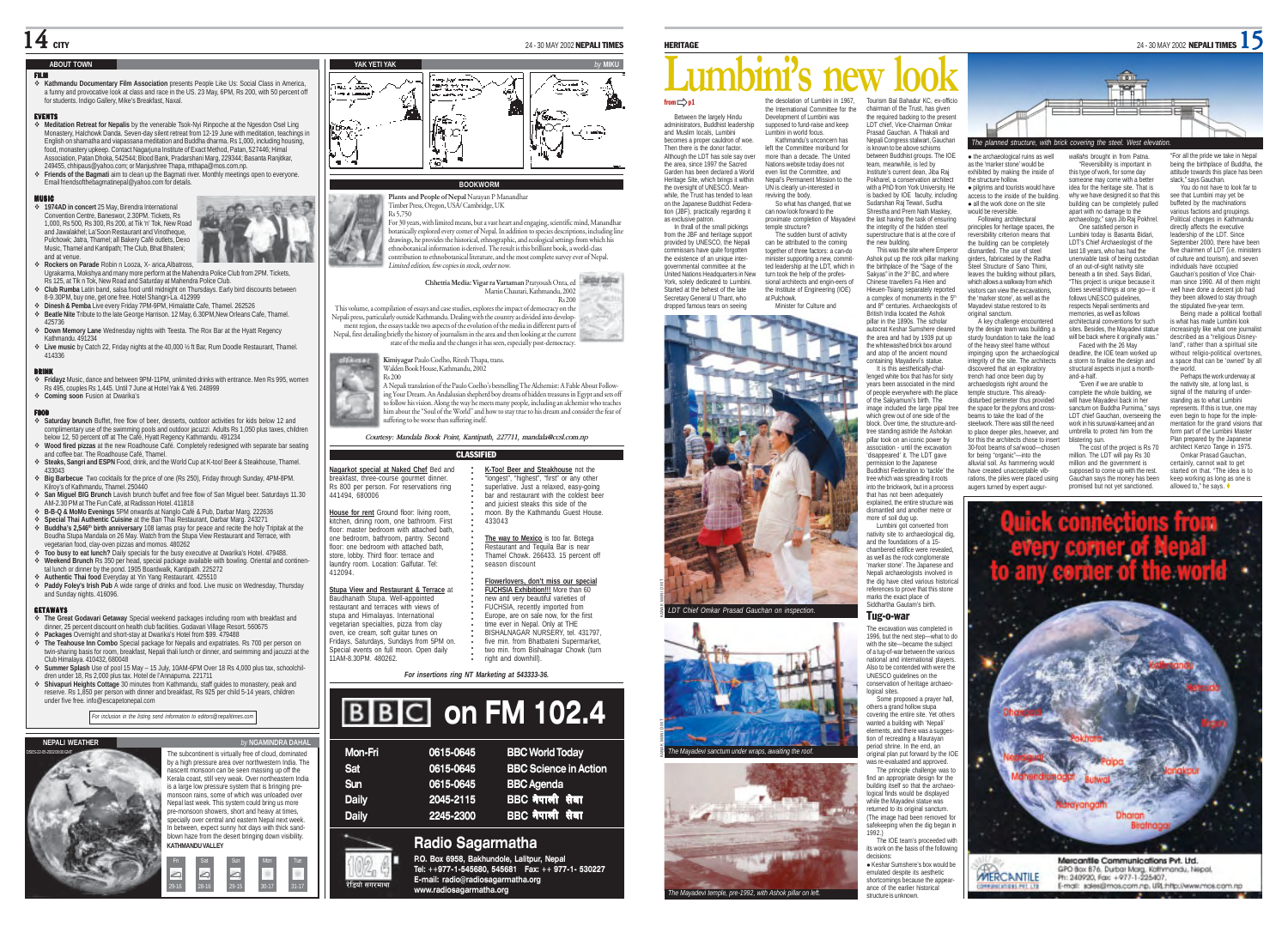# $14$  city

## **ABOUT TOWN**

### FILM

 **Kathmandu Documentary Film Association** presents People Like Us: Social Class in America, a funny and provocative look at class and race in the US. 23 May, 6PM, Rs 200, with 50 percent off for students. Indigo Gallery, Mike's Breakfast, Naval.

### EVENTS EV E N T S

- **Meditation Retreat for Nepalis** by the venerable Tsok-Nyi Rinpoche at the Ngesdon Osel Ling Monastery, Halchowk Danda. Seven-day silent retreat from 12-19 June with meditation, teachings in English on shamatha and viapassana meditation and Buddha dharma. Rs 1,000, including housing, food, monastery upkeep. Contact Nagarjuna Institute of Exact Method, Patan, 527446; Himal Association, Patan Dhoka, 542544; Blood Bank, Pradarshani Marg, 229344; Basanta Ranjitkar, 249455, chhipaus@yahoo.com; or Manjushree Thapa, mthapa@mos.com.np.
- **Friends of the Bagmati** aim to clean up the Bagmati river. Monthly meetings open to everyone. Email friendsofthebagmatinepal@yahoo.com for details.

## MUSIC

 **1974AD in concert** 25 May, Birendra International Convention Centre, Baneswor, 2.30PM. Tickets, Rs 1,000, Rs 500, Rs 300, Rs 200, at Tik 'n' Tok, New Road and Jawalakhel; La'Soon Restaurant and Vinotheque, Pulchowk; Jatra, Thamel; all Bakery Café outlets, Dexo Music, Thamel and Kantipath; The Club, Bhat Bhateni; and at venue.



- **Club Rumba** Latin band, salsa food until midnight on Thursdays. Early bird discounts between 8-9.30PM, buy one, get one free. Hotel Shangri-La. 412999
- **Dinesh & Pemba** Live every Friday 7PM-9PM, Himalatte Cafe, Thamel. 262526
- **Beatle Nite** Tribute to the late George Harrison. 12 May, 6.30PM,New Orleans Cafe, Thamel. 425736
- **Down Memory Lane** Wednesday nights with Teesta. The Rox Bar at the Hyatt Regency Kathmandu. 491234 **Live music** by Catch 22, Friday nights at the 40,000 % ft Bar, Rum Doodle Restaurant, Thamel.
- 414336

DRINK **Fridayz** Music, dance and between 9PM-11PM, unlimited drinks with entrance. Men Rs 995, women Rs 495, couples Rs 1,445. Until 7 June at Hotel Yak & Yeti. 248999 **Coming soon** Fusion at Dwarika's

- FOOD **Saturday brunch** Buffet, free flow of beer, desserts, outdoor activities for kids below 12 and complimentary use of the swimming pools and outdoor jacuzzi. Adults Rs 1,050 plus taxes, children below 12, 50 percent off at The Café, Hyatt Regency Kathmandu. 491234 **Wood fired pizzas** at the new Roadhouse Café. Completely redesigned with separate bar seating
- and coffee bar. The Roadhouse Café, Thamel. **Steaks, Sangri and ESPN** Food, drink, and the World Cup at K-too! Beer & Steakhouse, Thamel.
- 433043 **Big Barbecue** Two cocktails for the price of one (Rs 250), Friday through Sunday, 4PM-8PM.
- Kilroy's of Kathmandu, Thamel. 250440 **San Miguel BIG Brunch** Lavish brunch buffet and free flow of San Miguel beer. Saturdays 11.30 AM-2.30 PM at The Fun Café, at Radisson Hotel. 411818
- **B-B-Q & MoMo Evenings** 5PM onwards at Nanglo Café & Pub, Darbar Marg. 222636 **Special Thai Authentic Cuisine** at the Ban Thai Restaurant, Darbar Marg. 243271
- ↑ **Buddha's 2,546<sup>th</sup> birth anniversary** 108 lamas pray for peace and recite the holy Tripitak at the Boudha Stupa Mandala on 26 May. Watch from the Stupa View Restaurant and Terrace, with egetarian food, clay-oven pizzas and momos, 480262 **Too busy to eat lunch?** Daily specials for the busy executive at Dwarika's Hotel. 479488.
- **Weekend Brunch** Rs 350 per head, special package available with bowling. Oriental and continental lunch or dinner by the pond. 1905 Boardwalk, Kantipath. 225272
- **Authentic Thai food** Everyday at Yin Yang Restaurant. 425510 **Paddy Foley's Irish Pub** A wide range of drinks and food. Live music on Wednesday, Thursday and Sunday nights. 416096.

# GETAWAYS

- **The Great Godavari Getaway** Special weekend packages including room with breakfast and dinner, 25 percent discount on health club facilities. Godavari Village Resort. 560675
- **Packages** Overnight and short-stay at Dwarika's Hotel from \$99. 479488 **The Teahouse Inn Combo** Special package for Nepalis and expatriates. Rs 700 per person on
- twin-sharing basis for room, breakfast, Nepali thali lunch or dinner, and swimming and jacuzzi at the Club Himalaya. 410432, 680048 **Summer Splash** Use of pool 15 May – 15 July, 10AM-6PM Over 18 Rs 4,000 plus tax, schoolchil-
- dren under 18, Rs 2,000 plus tax. Hotel de l'Annapurna. 221711 **Shivapuri Heights Cottage** 30 minutes from Kathmandu, staff guides to monastery, peak and
- reserve. Rs 1,850 per person with dinner and breakfast, Rs 925 per child 5-14 years, children under five free. info@escapetonepal.com

*For inclusion in the listing send information to editors@nepalitimes.com*

Fri Sat Sun Mon Tue

6 6

scent monsoon can be seen massing up off the







**YAK YETI YAK** *by* **MIKU**

## **BOOKWORM**

**Plants and People of Nepal** Narayan P Manandhar Timber Press, Oregon, USA/ Cambridge, UK Rs 5,750 For 30 years, with limited means, but a vast heart and engaging, scientific mind, Manandhar botanically explored every corner of Nepal. In addition to species descriptions, including line<br>drawings, he provides the historical, ethnographic, and ecological settings from which his<br>ethnobotanical information is deriv contribution to ethnobotanical literature, and the most complete survey ever of Nepal. Limited edition, few copies in stock, order now.

**Chhetria Media: Vigar ra Vartaman** Pratyoush Onta, ed Martin Chautari, Kathmandu, 2002 Rs 200 This volume, a compilation of essays and case studies, explores the impact of democracy on the Nepali press, particularly outside Kathmandu. Dealing with the country as divided into develop-

ment region, the essays tackle two aspects of the evolution of the media in different parts of Nepal, first detailing briefly the history of journalism in the area and then looking at the current state of the media and the changes it has seen, especially post-democracy.

**Kimiyagar** Paulo Coelho, Ritesh Thapa, trans. Walden Book House, Kathmandu, 2002

Rs 200 A Nepali translation of the Paulo Coelho's bestselling The Alchemist: A Fable About Following Your Dream. An Andalusian shepherd boy dreams of hidden treasures in Egypt and sets off to follow his vision. Along the way he meets many people, including an alchemist who teaches him about the "Soul of the World" and how to stay true to his dream and consider the fear of suffering to be worse than suffering itself.

*Courtesy: Mandala Book Point, Kantipath, 227711, mandala@ccsl.com.np*

| <b>CLASSIFIED</b>                                                                                                                                                                                    |                                                                                                                                                                                                                                   |  |  |
|------------------------------------------------------------------------------------------------------------------------------------------------------------------------------------------------------|-----------------------------------------------------------------------------------------------------------------------------------------------------------------------------------------------------------------------------------|--|--|
| Nagarkot special at Naked Chef Bed and<br>breakfast, three-course gourmet dinner.<br>Rs 800 per person. For reservations ring<br>441494, 680006                                                      | K-Too! Beer and Steakhouse not the<br>"longest", "highest", "first" or any other<br>superlative, Just a relaxed, easv-going<br>har and restaurant with the coldest beer<br>and juiciest steaks this side of the                   |  |  |
| House for rent Ground floor: living room,<br>kitchen, dining room, one bathroom. First<br>floor: master bedroom with attached bath.                                                                  | moon. By the Kathmandu Guest House.<br>433043                                                                                                                                                                                     |  |  |
| one bedroom, bathroom, pantry. Second<br>floor: one bedroom with attached bath.<br>store, lobby. Third floor; terrace and<br>laundry room, Location: Galfutar, Tel:<br>412094                        | The way to Mexico is too far. Botega<br>Restaurant and Tequila Bar is near<br>Thamel Chowk, 266433, 15 percent off<br>season discount                                                                                             |  |  |
| Stupa View and Restaurant & Terrace at<br>Baudhanath Stupa. Well-appointed<br>restaurant and terraces with views of<br>stupa and Himalavas, International<br>vegetarian specialties, pizza from clay | Flowerlovers, don't miss our special<br>FUCHSIA Exhibition!!! More than 60<br>new and very beautiful varieties of<br>FUCHSIA, recently imported from<br>Europe, are on sale now, for the first<br>time ever in Nepal. Only at THE |  |  |
| oven, ice cream, soft quitar tunes on<br>Fridays, Saturdays, Sundays from 5PM on.<br>Special events on full moon. Open daily<br>11AM-R 30PM 480262                                                   | BISHALNAGAR NURSERY, tel. 431797,<br>five min. from Bhatbateni Supermarket,<br>two min. from Bishalnagar Chowk (turn<br>right and downhill)                                                                                       |  |  |

# **BBC on FM 102.4**

| Mon-Fri      | 0615-0645 | <b>BBC World Today</b>       |
|--------------|-----------|------------------------------|
| Sat          | 0615-0645 | <b>BBC Science in Action</b> |
| Sun          | 0615-0645 | <b>BBC</b> Agenda            |
| <b>Daily</b> | 2045-2115 | BBC नेपाली सेवा              |
| <b>Daily</b> | 2245-2300 | BBC नेपाली सेवा              |
|              |           |                              |

रेडियो सगरमाथा

**E-mail: radio@radiosagarmatha.org**

# the desolation of Lumbini in 1967, Tourism Bal Bahadur KC, ex-officio from  $\Rightarrow$  p1 **Lumbini's new look**

Between the largely Hindu administrators, Buddhist leadership and Muslim locals, Lumbini becomes a proper cauldron of woe. Then there is the donor factor. Although the LDT has sole say over the area, since 1997 the Sacred Garden has been declared a World Heritage Site, which brings it within the oversight of UNESCO. Meanwhile, the Trust has tended to lean on the Japanese Buddhist Federation (JBF), practically regarding it as exclusive patron. In thrall of the small pickings from the JBF and heritage support provided by UNESCO, the Nepali commissars have quite forgotten the existence of an unique intergovernmental committee at the United Nations Headquarters in New York, solely dedicated to Lumbini. Started at the behest of the late Secretary General II Thant, who dropped famous tears on seeing the International Committee for the Development of Lumbini was supposed to fund-raise and keep Lumbini in world focus. Kathmandu's unconcern has left the Committee moribund for more than a decade. The United Nations website today does not even list the Committee, and Nepal's Permanent Mission to the UN is clearly un-interested in reviving the body. So what has changed, that we can now look forward to the proximate completion of Mayadevi temple structure? The sudden burst of activity can be attributed to the coming together of three factors: a can-do minister supporting a new, committed leadership at the LDT, which in turn took the help of the professional architects and engin-eers of the Institute of Engineering (IOE) at Pulchowk. Minister for Culture and



**LDT Chief Omkar Prasad Gauchan on inspection.** 

KANAK MANI DIXIT

KANAK MANI DIXIT





Prasad Gauchan. A Thakali and Nepali Congress stalwart, Gauchan is known to be above schisms between Buddhist groups. The IOE team, meanwhile, is led by Institute's current dean, Jiba Raj Pokharel, a conservation architect with a PhD from York University. He is backed by IOE faculty, including Sudarshan Raj Tewari, Sudha Shrestha and Prem Nath Maskey, the last having the task of ensu the integrity of the hidden steel superstructure that is at the core of the new building. This was the site where Emperor Ashok put up the rock pillar marking<br>the birtholace of the "Sage of the

chairman of the Trust, has given the required backing to the present LDT chief, Vice-Chairman Omkar

the birthplace of the "Sage of the<br>Sakyas" in the 3¤ BC, and where Chinese travellers Fa Hien and Hieuen-Tsiang separately reported a complex of monuments in the 5th and 8<sup>th</sup> centuries. Archaeologists of British India located the Ashok pillar in the 1890s. The scholar autocrat Keshar Sumshere cleared the area and had by 1939 put up the whitewashed brick box around and atop of the ancient mound containing Mayadevi's statue. It is this aesthetically-challenged white box that has for sixty leaves the building without pillars, which allows a walkway from which tors can view the excavations the 'marker stone', as well as the Mayadevi statue restored to its original sanctum. A key challenge encountered by the design team was building a sturdy foundation to take the load of the heavy steel frame without impinging upon the archaeological integrity of the site. The architects discovered that an exploratory trench had once been dug by

years been associated in the mind of people everywhere with the place of the Sakyamuni's birth. The image included the large pipal tree which grew out of one side of the block. Over time, the structure-andtree standing astride the Ashokan pillar took on an iconic power by association - until the excavation 'disappeared' it. The LDT gave ion to the Japanes Buddhist Federation to 'tackle' the tree which was spreading it roots into the brickwork, but in a process that has not been adequately explained, the entire structure was dismantled and another metre or archaeologists right around the temple structure. This alreadydisturbed perimeter thus provided the space for the pylons and crossbeams to take the load of the steelwork. There was still the need to place deeper piles, however, and for this the architects chose to insert 30-foot beams of *sal* wood—chosen for being "organic"—into the alluvial soil. As hammering would have created unacceptable vibrations, the piles were placed using augers turned by expert augur*-*

more of soil dug up. Lumbini got converted from nativity site to archaeological dig, and the foundations of a 15 chambered edifice were revealed, as well as the rock conglomerate 'marker stone'. The Japanese and Nepali archaeologists involved in the dig have cited various historical references to prove that this stone marks the exact place of Siddhartha Gautam's birth.

# Tug-o-war

The excavation was completed in 1996, but the next step—what to do with the site—became the subject of a tug-of-war between the various national and international players. Also to be contended with were the UNESCO guidelines on the conservation of heritage archaeological sites.

Some proposed a prayer hall, others a grand hollow stupa covering the entire site. Yet others wanted a building with 'Nepali' elements, and there was a suggestion of recreating a Maurayan period shrine. In the end, an original plan put forward by the IOE was re-evaluated and app

The principle challenge was to find an appropriate design for the building itself so that the archaeological finds would be displayed while the Mayadevi statue was returned to its original sanctum. (The image had been removed for safekeeping when the dig began in 1992.)

The IOE team's proceeded with its work on the basis of the following decisions: **· Keshar Sumshere's box would be** 

emulated despite its aesthetic shortcomings because the appearance of the earlier historical structure is unknown.



• pilgrims and tourists would have access to the inside of the building. • all the work done on the site would be reversible. Following architectural principles for heritage spaces, the reversibility criterion means that the building can be completely dismantled. The use of steel girders, fabricated by the Radha Steel Structure of Sano Thimi, someone may come with a better idea for the heritage site. That is why we have designed it so that this building can be completely pulled apart with no damage to the<br>archaeology," says Jib Raj Pokhrel. One satisfied person in Lumbini today is Basanta Bidari, LDT's Chief Archaeologist of the last 18 years, who has had the

unenviable task of being custodian of an out-of-sight nativity site beneath a tin shed. Says Bidari, This project is unique because it does several things at one go— it follows UNESCO guidelines respects Nepali sentiments and memories, as well as follows architectural conventions for such

sites. Besides, the Mayadevi statue<br>will be back where it originally was." Faced with the 26 May deadline, the IOE team worked up a storm to finalise the design and structural aspects in just a month and-a-half.

"Even if we are unable to complete the whole building, we will have Mayadevi back in her sanctum on Buddha Purnima," says LDT chief Gauchan, overseeing the work in his suruwal-kameej and an umbrella to protect him from the blistering sun The cost of the project is Rs 70

million. The LDT will pay Rs 30 million and the government is supposed to come up with the rest. Gauchan says the money has been<br>promised but not vet sanctioned.

walkee broad the from Patria. The right was the fit by the<br>galaxies through the from Patric Theoretical is the presentation and the broad of Buddal, the<br>single-control of the method side of the fit and the side of the fit



Mercantile Communications Pvt. Ltd. GPO Box 876, Durbar Marg, Kathmandu, Nepal **MERCANTILE** Ph: 240920, Fax: +977-1-225407. E-mail: sales@mos.com.np. URLhttp://www.mos.com.np



# *For insertions ring NT Marketing at 543333-36.*

|       | Radio Sagarmatha |                              |
|-------|------------------|------------------------------|
| ailv  | 2245-2300        | BBC नेपाली सेवा              |
| ailv  | 2045-2115        | BBC नेपाली सेवा              |
| m     | 0615-0645        | <b>BBC Agenda</b>            |
| ıt.   | 0615-0645        | <b>BBC Science in Action</b> |
| 91-гн | UO 15-UG45       | <b>BBC WONG TOGEY</b>        |

**P.O. Box 6958, Bakhundole, Lalitpur, Nepal Tel: ++977-1-545680, 545681 Fax: ++ 977-1- 530227 www.radiosagarmatha.org**



٦